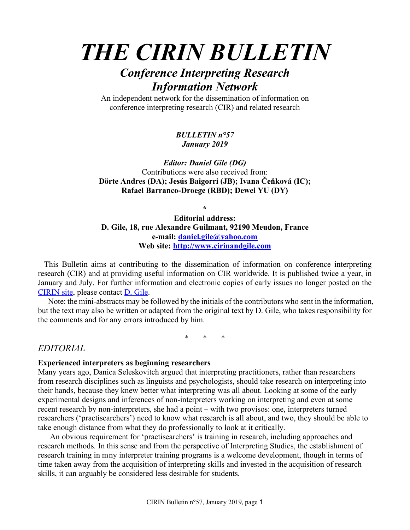# *THE CIRIN BULLETIN*

## *Conference Interpreting Research Information Network*

An independent network for the dissemination of information on conference interpreting research (CIR) and related research

#### *BULLETIN n°57 January 2019*

*Editor: Daniel Gile (DG)* Contributions were also received from: **Dörte Andres (DA); Jesús Baigorri (JB); Ivana Čeňková (IC); Rafael Barranco-Droege (RBD); Dewei YU (DY)**

**\***

**Editorial address: D. Gile, 18, rue Alexandre Guilmant, 92190 Meudon, France e-mail: daniel.gile@yahoo.com Web site: http://www.cirinandgile.com**

 This Bulletin aims at contributing to the dissemination of information on conference interpreting research (CIR) and at providing useful information on CIR worldwide. It is published twice a year, in January and July. For further information and electronic copies of early issues no longer posted on the CIRIN site, please contact D. Gile.

 Note: the mini-abstracts may be followed by the initials of the contributors who sent in the information, but the text may also be written or adapted from the original text by D. Gile, who takes responsibility for the comments and for any errors introduced by him.

\* \* \*

## *EDITORIAL*

#### **Experienced interpreters as beginning researchers**

Many years ago, Danica Seleskovitch argued that interpreting practitioners, rather than researchers from research disciplines such as linguists and psychologists, should take research on interpreting into their hands, because they knew better what interpreting was all about. Looking at some of the early experimental designs and inferences of non-interpreters working on interpreting and even at some recent research by non-interpreters, she had a point – with two provisos: one, interpreters turned researchers ('practisearchers') need to know what research is all about, and two, they should be able to take enough distance from what they do professionally to look at it critically.

An obvious requirement for 'practisearchers' is training in research, including approaches and research methods. In this sense and from the perspective of Interpreting Studies, the establishment of research training in mny interpreter training programs is a welcome development, though in terms of time taken away from the acquisition of interpreting skills and invested in the acquisition of research skills, it can arguably be considered less desirable for students.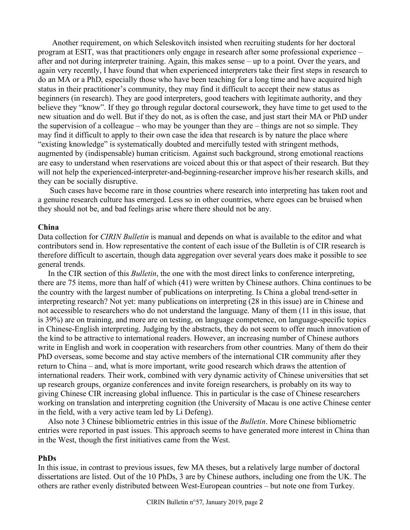Another requirement, on which Seleskovitch insisted when recruiting students for her doctoral program at ESIT, was that practitioners only engage in research after some professional experience – after and not during interpreter training. Again, this makes sense – up to a point. Over the years, and again very recently, I have found that when experienced interpreters take their first steps in research to do an MA or a PhD, especially those who have been teaching for a long time and have acquired high status in their practitioner's community, they may find it difficult to accept their new status as beginners (in research). They are good interpreters, good teachers with legitimate authority, and they believe they "know". If they go through regular doctoral coursework, they have time to get used to the new situation and do well. But if they do not, as is often the case, and just start their MA or PhD under the supervision of a colleague – who may be younger than they are – things are not so simple. They may find it difficult to apply to their own case the idea that research is by nature the place where "existing knowledge" is systematically doubted and mercifully tested with stringent methods, augmented by (indispensable) human criticism. Against such background, strong emotional reactions are easy to understand when reservations are voiced about this or that aspect of their research. But they will not help the experienced-interpreter-and-beginning-researcher improve his/her research skills, and they can be socially disruptive.

Such cases have become rare in those countries where research into interpreting has taken root and a genuine research culture has emerged. Less so in other countries, where egoes can be bruised when they should not be, and bad feelings arise where there should not be any.

#### **China**

Data collection for *CIRIN Bulletin* is manual and depends on what is available to the editor and what contributors send in. How representative the content of each issue of the Bulletin is of CIR research is therefore difficult to ascertain, though data aggregation over several years does make it possible to see general trends.

 In the CIR section of this *Bulletin*, the one with the most direct links to conference interpreting, there are 75 items, more than half of which (41) were written by Chinese authors. China continues to be the country with the largest number of publications on interpreting. Is China a global trend-setter in interpreting research? Not yet: many publications on interpreting (28 in this issue) are in Chinese and not accessible to researchers who do not understand the language. Many of them (11 in this issue, that is 39%) are on training, and more are on testing, on language competence, on language-specific topics in Chinese-English interpreting. Judging by the abstracts, they do not seem to offer much innovation of the kind to be attractive to international readers. However, an increasing number of Chinese authors write in English and work in cooperation with researchers from other countries. Many of them do their PhD overseas, some become and stay active members of the international CIR community after they return to China – and, what is more important, write good research which draws the attention of international readers. Their work, combined with very dynamic activity of Chinese universities that set up research groups, organize conferences and invite foreign researchers, is probably on its way to giving Chinese CIR increasing global influence. This in particular is the case of Chinese researchers working on translation and interpreting cognition (the University of Macau is one active Chinese center in the field, with a very active team led by Li Defeng).

 Also note 3 Chinese bibliometric entries in this issue of the *Bulletin*. More Chinese bibliometric entries were reported in past issues. This approach seems to have generated more interest in China than in the West, though the first initiatives came from the West.

#### **PhDs**

In this issue, in contrast to previous issues, few MA theses, but a relatively large number of doctoral dissertations are listed. Out of the 10 PhDs, 3 are by Chinese authors, including one from the UK. The others are rather evenly distributed between West-European countries – but note one from Turkey.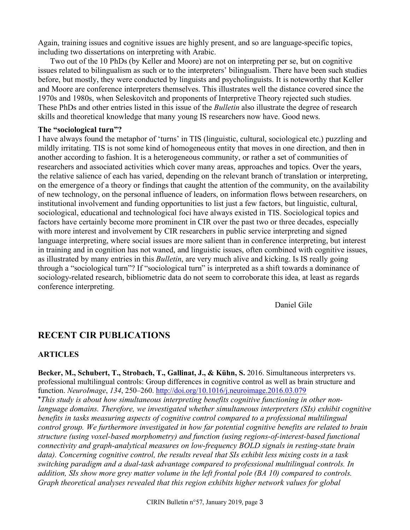Again, training issues and cognitive issues are highly present, and so are language-specific topics, including two dissertations on interpreting with Arabic.

 Two out of the 10 PhDs (by Keller and Moore) are not on interpreting per se, but on cognitive issues related to bilingualism as such or to the interpreters' bilingualism. There have been such studies before, but mostly, they were conducted by linguists and psycholinguists. It is noteworthy that Keller and Moore are conference interpreters themselves. This illustrates well the distance covered since the 1970s and 1980s, when Seleskovitch and proponents of Interpretive Theory rejected such studies. These PhDs and other entries listed in this issue of the *Bulletin* also illustrate the degree of research skills and theoretical knowledge that many young IS researchers now have. Good news.

#### **The "sociological turn"?**

I have always found the metaphor of 'turns' in TIS (linguistic, cultural, sociological etc.) puzzling and mildly irritating. TIS is not some kind of homogeneous entity that moves in one direction, and then in another according to fashion. It is a heterogeneous community, or rather a set of communities of researchers and associated activities which cover many areas, approaches and topics. Over the years, the relative salience of each has varied, depending on the relevant branch of translation or interpreting, on the emergence of a theory or findings that caught the attention of the community, on the availability of new technology, on the personal influence of leaders, on information flows between researchers, on institutional involvement and funding opportunities to list just a few factors, but linguistic, cultural, sociological, educational and technological foci have always existed in TIS. Sociological topics and factors have certainly become more prominent in CIR over the past two or three decades, especially with more interest and involvement by CIR researchers in public service interpreting and signed language interpreting, where social issues are more salient than in conference interpreting, but interest in training and in cognition has not waned, and linguistic issues, often combined with cognitive issues, as illustrated by many entries in this *Bulletin*, are very much alive and kicking. Is IS really going through a "sociological turn"? If "sociological turn" is interpreted as a shift towards a dominance of sociology-related research, bibliometric data do not seem to corroborate this idea, at least as regards conference interpreting.

Daniel Gile

## **RECENT CIR PUBLICATIONS**

#### **ARTICLES**

**Becker, M., Schubert, T., Strobach, T., Gallinat, J., & Kühn, S.** 2016. Simultaneous interpreters vs. professional multilingual controls: Group differences in cognitive control as well as brain structure and function. *NeuroImage*, *134*, 250–260. http://doi.org/10.1016/j.neuroimage.2016.03.079 \**This study is about how simultaneous interpreting benefits cognitive functioning in other nonlanguage domains. Therefore, we investigated whether simultaneous interpreters (SIs) exhibit cognitive benefits in tasks measuring aspects of cognitive control compared to a professional multilingual control group. We furthermore investigated in how far potential cognitive benefits are related to brain structure (using voxel-based morphometry) and function (using regions-of-interest-based functional connectivity and graph-analytical measures on low-frequency BOLD signals in resting-state brain data). Concerning cognitive control, the results reveal that SIs exhibit less mixing costs in a task switching paradigm and a dual-task advantage compared to professional multilingual controls. In addition, SIs show more grey matter volume in the left frontal pole (BA 10) compared to controls. Graph theoretical analyses revealed that this region exhibits higher network values for global*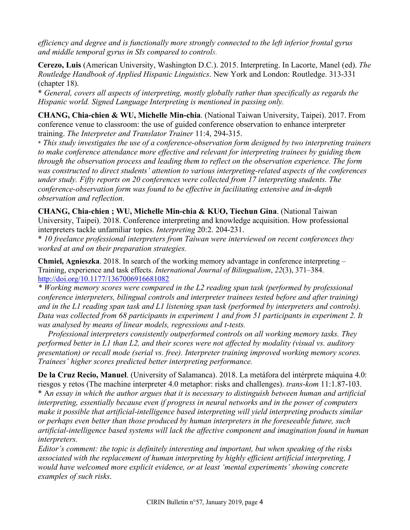*efficiency and degree and is functionally more strongly connected to the left inferior frontal gyrus and middle temporal gyrus in SIs compared to controls.*

**Cerezo, Luis** (American University, Washington D.C.). 2015. Interpreting. In Lacorte, Manel (ed). *The Routledge Handbook of Applied Hispanic Linguistics*. New York and London: Routledge. 313-331 (chapter 18).

\* *General, covers all aspects of interpreting, mostly globally rather than specifically as regards the Hispanic world. Signed Language Interpreting is mentioned in passing only.*

**CHANG, Chia-chien & WU, Michelle Min-chia**. (National Taiwan University, Taipei). 2017. From conference venue to classroom: the use of guided conference observation to enhance interpreter training. *The Interpreter and Translator Trainer* 11:4, 294-315.

\* *This study investigates the use of a conference-observation form designed by two interpreting trainers to make conference attendance more effective and relevant for interpreting trainees by guiding them through the observation process and leading them to reflect on the observation experience. The form was constructed to direct students' attention to various interpreting-related aspects of the conferences under study. Fifty reports on 20 conferences were collected from 17 interpreting students. The conference-observation form was found to be effective in facilitating extensive and in-depth observation and reflection.*

**CHANG, Chia-chien ; WU, Michelle Min-chia & KUO, Tiechun Gina**. (National Taiwan University, Taipei). 2018. Conference interpreting and knowledge acquisition. How professional interpreters tackle unfamiliar topics. *Interpreting* 20:2. 204-231.

\* *10 freelance professional interpreters from Taiwan were interviewed on recent conferences they worked at and on their preparation strategies.*

**Chmiel, Agnieszka**. 2018. In search of the working memory advantage in conference interpreting – Training, experience and task effects. *International Journal of Bilingualism*, *22*(3), 371–384. http://doi.org/10.1177/1367006916681082

*\* Working memory scores were compared in the L2 reading span task (performed by professional conference interpreters, bilingual controls and interpreter trainees tested before and after training) and in the L1 reading span task and L1 listening span task (performed by interpreters and controls). Data was collected from 68 participants in experiment 1 and from 51 participants in experiment 2. It was analysed by means of linear models, regressions and t-tests.*

 *Professional interpreters consistently outperformed controls on all working memory tasks. They performed better in L1 than L2, and their scores were not affected by modality (visual vs. auditory presentation) or recall mode (serial vs. free). Interpreter training improved working memory scores. Trainees' higher scores predicted better interpreting performance.*

**De la Cruz Recio, Manuel**. (University of Salamanca). 2018. La metáfora del intérprete máquina 4.0: riesgos y retos (The machine interpreter 4.0 metaphor: risks and challenges). *trans-kom* 11:1.87-103. \* A*n essay in which the author argues that it is necessary to distinguish between human and artificial interpreting, essentially because even if progress in neural networks and in the power of computers make it possible that artificial-intelligence based interpreting will yield interpreting products similar or perhaps even better than those produced by human interpreters in the foreseeable future, such artificial-intelligence based systems will lack the affective component and imagination found in human interpreters.*

*Editor's comment: the topic is definitely interesting and important, but when speaking of the risks associated with the replacement of human interpreting by highly efficient artificial interpreting, I would have welcomed more explicit evidence, or at least 'mental experiments' showing concrete examples of such risks*.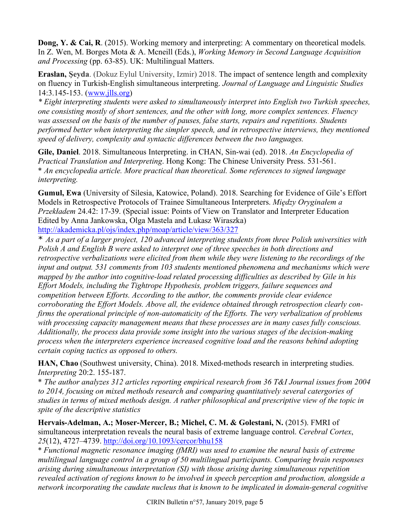**Dong, Y. & Cai, R**. (2015). Working memory and interpreting: A commentary on theoretical models. In Z. Wen, M. Borges Mota & A. Mcneill (Eds.), *Working Memory in Second Language Acquisition and Processing* (pp. 63-85). UK: Multilingual Matters.

**Eraslan, Şeyda**. (Dokuz Eylul University, Izmir) 2018. The impact of sentence length and complexity on fluency in Turkish-English simultaneous interpreting. *Journal of Language and Linguistic Studies* 14:3.145-153. (www.jlls.org)

*\* Eight interpreting students were asked to simultaneously interpret into English two Turkish speeches, one consisting mostly of short sentences, and the other with long, more complex sentences. Fluency was assessed on the basis of the number of pauses, false starts, repairs and repetitions. Students performed better when interpreting the simpler speech, and in retrospective interviews, they mentioned speed of delivery, complexity and syntactic differences between the two languages.*

**Gile, Daniel**. 2018. Simultaneous Interpreting. in CHAN, Sin-wai (ed). 2018. *An Encyclopedia of Practical Translation and Interpreting*. Hong Kong: The Chinese University Press. 531-561. \* *An encyclopedia article. More practical than theoretical. Some references to signed language interpreting.*

**Gumul, Ewa** (University of Silesia, Katowice, Poland). 2018. Searching for Evidence of Gile's Effort Models in Retrospective Protocols of Trainee Simultaneous Interpreters. *Między Oryginałem a Przekładem* 24.42: 17-39. (Special issue: Points of View on Translator and Interpreter Education Edited by Anna Jankowska, Olga Mastela and Łukasz Wiraszka) http://akademicka.pl/ojs/index.php/moap/article/view/363/327

\* *As a part of a larger project, 120 advanced interpreting students from three Polish universities with Polish A and English B were asked to interpret one of three speeches in both directions and retrospective verbalizations were elicited from them while they were listening to the recordings of the input and output. 531 comments from 103 students mentioned phenomena and mechanisms which were mapped by the author into cognitive-load related processing difficulties as described by Gile in his Effort Models, including the Tightrope Hypothesis, problem triggers, failure sequences and competition between Efforts. According to the author, the comments provide clear evidence corroborating the Effort Models. Above all, the evidence obtained through retrospection clearly confirms the operational principle of non-automaticity of the Efforts. The very verbalization of problems with processing capacity management means that these processes are in many cases fully conscious. Additionally, the process data provide some insight into the various stages of the decision-making process when the interpreters experience increased cognitive load and the reasons behind adopting certain coping tactics as opposed to others.*

**HAN, Chao** (Southwest university, China). 2018. Mixed-methods research in interpreting studies. *Interpreting* 20:2. 155-187.

\* *The author analyzes 312 articles reporting empirical research from 36 T&I Journal issues from 2004 to 2014, focusing on mixed methods research and comparing quantitatively several catergories of studies in terms of mixed methods design. A rather philosophical and prescriptive view of the topic in spite of the descriptive statistics*

**Hervais-Adelman, A.; Moser-Mercer, B.; Michel, C. M. & Golestani, N.** (2015). FMRI of simultaneous interpretation reveals the neural basis of extreme language control. *Cerebral Cortex*, *25*(12), 4727–4739. http://doi.org/10.1093/cercor/bhu158

\* *Functional magnetic resonance imaging (fMRI) was used to examine the neural basis of extreme multilingual language control in a group of 50 multilingual participants. Comparing brain responses arising during simultaneous interpretation (SI) with those arising during simultaneous repetition revealed activation of regions known to be involved in speech perception and production, alongside a network incorporating the caudate nucleus that is known to be implicated in domain-general cognitive*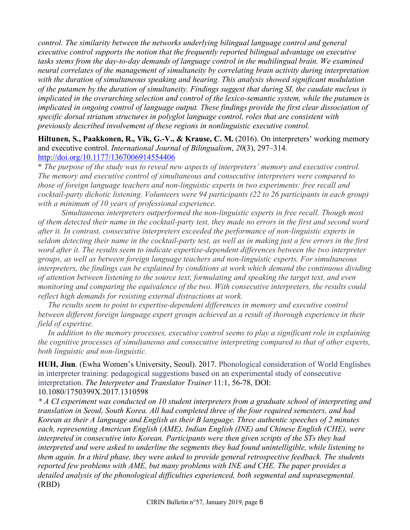*control. The similarity between the networks underlying bilingual language control and general executive control supports the notion that the frequently reported bilingual advantage on executive*  tasks stems from the day-to-day demands of language control in the multilingual brain. We examined *neural correlates of the management of simultaneity by correlating brain activity during interpretation with the duration of simultaneous speaking and hearing. This analysis showed significant modulation of the putamen by the duration of simultaneity. Findings suggest that during SI, the caudate nucleus is implicated in the overarching selection and control of the lexico-semantic system, while the putamen is implicated in ongoing control of language output. These findings provide the first clear dissociation of specific dorsal striatum structures in polyglot language control, roles that are consistent with previously described involvement of these regions in nonlinguistic executive control.*

**Hiltunen, S., Paakkonen, R., Vik, G.-V., & Krause, C. M.** (2016). On interpreters' working memory and executive control. *International Journal of Bilingualism*, *20*(3), 297–314. http://doi.org/10.1177/1367006914554406

\* *The purpose of the study was to reveal new aspects of interpreters' memory and executive control. The memory and executive control of simultaneous and consecutive interpreters were compared to those of foreign language teachers and non-linguistic experts in two experiments: free recall and cocktail-party dichotic listening. Volunteers were 94 participants (22 to 26 participants in each group) with a minimum of 10 years of professional experience.*

*Simultaneous interpreters outperformed the non-linguistic experts in free recall. Though most of them detected their name in the cocktail-party test, they made no errors in the first and second word after it. In contrast, consecutive interpreters exceeded the performance of non-linguistic experts in seldom detecting their name in the cocktail-party test, as well as in making just a few errors in the first word after it. The results seem to indicate expertise-dependent differences between the two interpreter groups, as well as between foreign language teachers and non-linguistic experts. For simultaneous interpreters, the findings can be explained by conditions at work which demand the continuous dividing of attention between listening to the source text, formulating and speaking the target text, and even monitoring and comparing the equivalence of the two. With consecutive interpreters, the results could reflect high demands for resisting external distractions at work.*

 *The results seem to point to expertise-dependent differences in memory and executive control between different foreign language expert groups achieved as a result of thorough experience in their field of expertise.*

 *In addition to the memory processes, executive control seems to play a significant role in explaining the cognitive processes of simultaneous and consecutive interpreting compared to that of other experts, both linguistic and non-linguistic.*

**HUH, Jiun**. (Ewha Women's University, Seoul). 2017. Phonological consideration of World Englishes in interpreter training: pedagogical suggestions based on an experimental study of consecutive interpretation. *The Interpreter and Translator Trainer* 11:1, 56-78, DOI: 10.1080/1750399X.2017.1310598

*\* A CI experiment was conducted on 10 student interpreters from a graduate school of interpreting and translation in Seoul, South Korea. All had completed three of the four required semesters, and had Korean as their A language and English as their B language. Three authentic speeches of 2 minutes each, representing American English (AME), Indian English (INE) and Chinese English (CHE), were interpreted in consecutive into Korean. Participants were then given scripts of the STs they had interpreted and were asked to underline the segments they had found unintelligible, while listening to them again. In a third phase, they were asked to provide general retrospective feedback. The students reported few problems with AME, but many problems with INE and CHE. The paper provides a detailed analysis of the phonological difficulties experienced, both segmental and suprasegmental.* (RBD)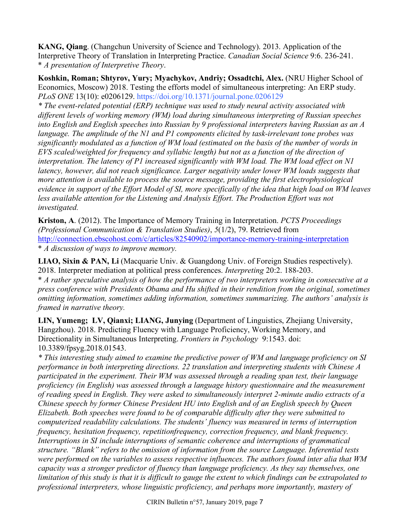**KANG, Qiang**. (Changchun University of Science and Technology). 2013. Application of the Interpretive Theory of Translation in Interpreting Practice. *Canadian Social Science* 9:6. 236-241. \* *A presentation of Interpretive Theory*.

**Koshkin, Roman; Shtyrov, Yury; Myachykov, Andriy; Ossadtchi, Alex.** (NRU Higher School of Economics, Moscow) 2018. Testing the efforts model of simultaneous interpreting: An ERP study. *PLoS ONE* 13(10): e0206129. https://doi.org/10.1371/journal.pone.0206129

*\* The event-related potential (ERP) technique was used to study neural activity associated with different levels of working memory (WM) load during simultaneous interpreting of Russian speeches into English and English speeches into Russian by 9 professional interpreters having Russian as an A language. The amplitude of the N1 and P1 components elicited by task-irrelevant tone probes was significantly modulated as a function of WM load (estimated on the basis of the number of words in EVS scaled/weighted for frequency and syllabic length) but not as a function of the direction of interpretation. The latency of P1 increased significantly with WM load. The WM load effect on N1 latency, however, did not reach significance. Larger negativity under lower WM loads suggests that more attention is available to process the source message, providing the first electrophysiological evidence in support of the Effort Model of SI, more specifically of the idea that high load on WM leaves*  less available attention for the Listening and Analysis Effort. The Production Effort was not *investigated.*

**Kriston, A**. (2012). The Importance of Memory Training in Interpretation. *PCTS Proceedings (Professional Communication & Translation Studies)*, *5*(1/2), 79. Retrieved from http://connection.ebscohost.com/c/articles/82540902/importance-memory-training-interpretation \* *A discussion of ways to improve memory.*

**LIAO, Sixin & PAN, Li** (Macquarie Univ. & Guangdong Univ. of Foreign Studies respectively). 2018. Interpreter mediation at political press conferences. *Interpreting* 20:2. 188-203.

\* *A rather speculative analysis of how the performance of two interpreters working in consecutive at a press conference with Presidents Obama and Hu shifted in their rendition from the original, sometimes omitting information, sometimes adding information, sometimes summarizing. The authors' analysis is framed in narrative theory.*

**LIN, Yumeng; LV, Qianxi; LIANG, Junying** (Department of Linguistics, Zhejiang University, Hangzhou). 2018. Predicting Fluency with Language Proficiency, Working Memory, and Directionality in Simultaneous Interpreting. *Frontiers in Psychology* 9:1543. doi: 10.3389/fpsyg.2018.01543.

*\* This interesting study aimed to examine the predictive power of WM and language proficiency on SI performance in both interpreting directions. 22 translation and interpreting students with Chinese A participated in the experiment. Their WM was assessed through a reading span test, their language proficiency (in English) was assessed through a language history questionnaire and the measurement of reading speed in English. They were asked to simultaneously interpret 2-minute audio extracts of a Chinese speech by former Chinese President HU into English and of an English speech by Queen Elizabeth. Both speeches were found to be of comparable difficulty after they were submitted to computerized readability calculations. The students' fluency was measured in terms of interruption frequency, hesitation frequency, repetitionfrequency, correction frequency, and blank frequency. Interruptions in SI include interruptions of semantic coherence and interruptions of grammatical structure. "Blank" refers to the omission of information from the source Language. Inferential tests were performed on the variables to assess respective influences. The authors found inter alia that WM capacity was a stronger predictor of fluency than language proficiency. As they say themselves, one limitation of this study is that it is difficult to gauge the extent to which findings can be extrapolated to professional interpreters, whose linguistic proficiency, and perhaps more importantly, mastery of*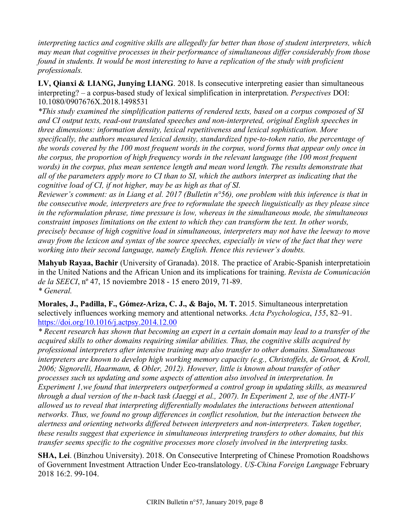*interpreting tactics and cognitive skills are allegedly far better than those of student interpreters, which may mean that cognitive processes in their performance of simultaneous differ considerably from those found in students. It would be most interesting to have a replication of the study with proficient professionals.*

**LV, Qianxi & LIANG, Junying LIANG**. 2018. Is consecutive interpreting easier than simultaneous interpreting? – a corpus-based study of lexical simplification in interpretation. *Perspectives* DOI: 10.1080/0907676X.2018.1498531

*\*This study examined the simplification patterns of rendered texts, based on a corpus composed of SI and CI output texts, read-out translated speeches and non-interpreted, original English speeches in three dimensions: information density, lexical repetitiveness and lexical sophistication. More specifically, the authors measured lexical density, standardized type-to-token ratio, the percentage of the words covered by the 100 most frequent words in the corpus, word forms that appear only once in the corpus, the proportion of high frequency words in the relevant language (the 100 most frequent*  words) in the corpus, plus mean sentence length and mean word length. The results demonstrate that *all of the parameters apply more to CI than to SI, which the authors interpret as indicating that the cognitive load of CI, if not higher, may be as high as that of SI.*

*Reviewer's comment: as in Liang et al. 2017 (Bulletin n°56), one problem with this inference is that in the consecutive mode, interpreters are free to reformulate the speech linguistically as they please since in the reformulation phrase, time pressure is low, whereas in the simultaneous mode, the simultaneous constraint imposes limitations on the extent to which they can transform the text. In other words, precisely because of high cognitive load in simultaneous, interpreters may not have the leeway to move away from the lexicon and syntax of the source speeches, especially in view of the fact that they were working into their second language, namely English. Hence this reviewer's doubts.*

**Mahyub Rayaa, Bachir** (University of Granada). 2018. The practice of Arabic-Spanish interpretatioin in the United Nations and the African Union and its implications for training. *Revista de Comunicación de la SEECI*, nº 47, 15 noviembre 2018 - 15 enero 2019, 71-89. *\* General.*

**Morales, J., Padilla, F., Gómez-Ariza, C. J., & Bajo, M. T.** 2015. Simultaneous interpretation selectively influences working memory and attentional networks. *Acta Psychologica*, *155*, 82–91. https://doi.org/10.1016/j.actpsy.2014.12.00

*\* Recent research has shown that becoming an expert in a certain domain may lead to a transfer of the acquired skills to other domains requiring similar abilities. Thus, the cognitive skills acquired by professional interpreters after intensive training may also transfer to other domains. Simultaneous interpreters are known to develop high working memory capacity (e.g., Christoffels, de Groot, & Kroll, 2006; Signorelli, Haarmann, & Obler, 2012). However, little is known about transfer of other processes such us updating and some aspects of attention also involved in interpretation. In Experiment 1,we found that interpreters outperformed a control group in updating skills, as measured through a dual version of the n-back task (Jaeggi et al., 2007). In Experiment 2, use of the ANTI-V allowed us to reveal that interpreting differentially modulates the interactions between attentional networks. Thus, we found no group differences in conflict resolution, but the interaction between the alertness and orienting networks differed between interpreters and non-interpreters. Taken together, these results suggest that experience in simultaneous interpreting transfers to other domains, but this transfer seems specific to the cognitive processes more closely involved in the interpreting tasks.*

**SHA, Lei**. (Binzhou University). 2018. On Consecutive Interpreting of Chinese Promotion Roadshows of Government Investment Attraction Under Eco-translatology. *US-China Foreign Language* February 2018 16:2. 99-104.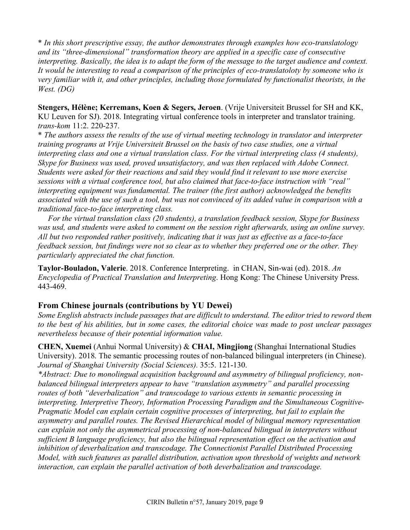\* *In this short prescriptive essay, the author demonstrates through examples how eco-translatology and its "three-dimensional" transformation theory are applied in a specific case of consecutive interpreting. Basically, the idea is to adapt the form of the message to the target audience and context. It would be interesting to read a comparison of the principles of eco-translatoloty by someone who is very familiar with it, and other principles, including those formulated by functionalist theorists, in the West. (DG)*

**Stengers, Hélène; Kerremans, Koen & Segers, Jeroen**. (Vrije Universiteit Brussel for SH and KK, KU Leuven for SJ). 2018. Integrating virtual conference tools in interpreter and translator training. *trans-kom* 11:2. 220-237.

\* *The authors assess the results of the use of virtual meeting technology in translator and interpreter training programs at Vrije Universiteit Brussel on the basis of two case studies, one a virtual interpreting class and one a virtual translation class. For the virtual interpreting class (4 students), Skype for Business was used, proved unsatisfactory, and was then replaced with Adobe Connect. Students were asked for their reactions and said they would find it relevant to use more exercise sessions with a virtual conference tool, but also claimed that face-to-face instruction with "real" interpreting equipment was fundamental. The trainer (the first author) acknowledged the benefits associated with the use of such a tool, but was not convinced of its added value in comparison with a traditional face-to-face interpreting class.*

 *For the virtual translation class (20 students), a translation feedback session, Skype for Business was usd, and students were asked to comment on the session right afterwards, using an online survey. All but two responded rather positively, indicating that it was just as effective as a face-to-face feedback session, but findings were not so clear as to whether they preferred one or the other. They particularly appreciated the chat function.*

**Taylor-Bouladon, Valerie**. 2018. Conference Interpreting. in CHAN, Sin-wai (ed). 2018. *An Encyclopedia of Practical Translation and Interpreting*. Hong Kong: The Chinese University Press. 443-469.

#### **From Chinese journals (contributions by YU Dewei)**

*Some English abstracts include passages that are difficult to understand. The editor tried to reword them to the best of his abilities, but in some cases, the editorial choice was made to post unclear passages nevertheless because of their potential information value.*

**CHEN, Xuemei** (Anhui Normal University) & **CHAI, Mingjiong** (Shanghai International Studies University). 2018. The semantic processing routes of non-balanced bilingual interpreters (in Chinese). *Journal of Shanghai University (Social Sciences).* 35:5. 121-130.

*\*Abstract: Due to monolingual acquisition background and asymmetry of bilingual proficiency, nonbalanced bilingual interpreters appear to have "translation asymmetry" and parallel processing routes of both "deverbalization" and transcodage to various extents in semantic processing in interpreting. Interpretive Theory, Information Processing Paradigm and the Simultaneous Cognitive-Pragmatic Model can explain certain cognitive processes of interpreting, but fail to explain the asymmetry and parallel routes. The Revised Hierarchical model of bilingual memory representation can explain not only the asymmetrical processing of non-balanced bilingual in interpreters without sufficient B language proficiency, but also the bilingual representation effect on the activation and inhibition of deverbalization and transcodage. The Connectionist Parallel Distributed Processing Model, with such features as parallel distribution, activation upon threshold of weights and network interaction, can explain the parallel activation of both deverbalization and transcodage.*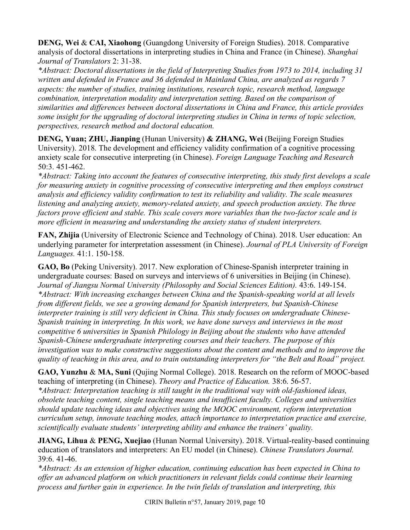**DENG, Wei** & **CAI, Xiaohong** (Guangdong University of Foreign Studies). 2018. Comparative analysis of doctoral dissertations in interpreting studies in China and France (in Chinese). *Shanghai Journal of Translators* 2: 31-38.

*\*Abstract: Doctoral dissertations in the field of Interpreting Studies from 1973 to 2014, including 31 written and defended in France and 36 defended in Mainland China, are analyzed as regards 7 aspects: the number of studies, training institutions, research topic, research method, language combination, interpretation modality and interpretation setting. Based on the comparison of similarities and differences between doctoral dissertations in China and France, this article provides some insight for the upgrading of doctoral interpreting studies in China in terms of topic selection, perspectives, research method and doctoral education.*

**DENG, Yuan; ZHU, Jianping** (Hunan University) **& ZHANG, Wei** (Beijing Foreign Studies University). 2018. The development and efficiency validity confirmation of a cognitive processing anxiety scale for consecutive interpreting (in Chinese). *Foreign Language Teaching and Research* 50:3. 451-462.

*\*Abstract: Taking into account the features of consecutive interpreting, this study first develops a scale for measuring anxiety in cognitive processing of consecutive interpreting and then employs construct analysis and efficiency validity confirmation to test its reliability and validity. The scale measures listening and analyzing anxiety, memory-related anxiety, and speech production anxiety. The three factors prove efficient and stable. This scale covers more variables than the two-factor scale and is more efficient in measuring and understanding the anxiety status of student interpreters.*

**FAN, Zhijia** (University of Electronic Science and Technology of China). 2018. User education: An underlying parameter for interpretation assessment (in Chinese). *Journal of PLA University of Foreign Languages.* 41:1. 150-158.

**GAO, Bo** (Peking University). 2017. New exploration of Chinese-Spanish interpreter training in undergraduate courses: Based on surveys and interviews of 6 universities in Beijing (in Chinese). *Journal of Jiangsu Normal University (Philosophy and Social Sciences Edition).* 43:6. 149-154. *\*Abstract: With increasing exchanges between China and the Spanish-speaking world at all levels from different fields, we see a growing demand for Spanish interpreters, but Spanish-Chinese interpreter training is still very deficient in China. This study focuses on undergraduate Chinese-Spanish training in interpreting. In this work, we have done surveys and interviews in the most competitive 6 universities in Spanish Philology in Beijing about the students who have attended Spanish-Chinese undergraduate interpreting courses and their teachers. The purpose of this investigation was to make constructive suggestions about the content and methods and to improve the quality of teaching in this area, and to train outstanding interpreters for "the Belt and Road" project.* 

**GAO, Yunzhu** & **MA, Suni** (Qujing Normal College). 2018. Research on the reform of MOOC-based teaching of interpreting (in Chinese). *Theory and Practice of Education.* 38:6. 56-57.

*\*Abstract: Interpretation teaching is still taught in the traditional way with old-fashioned ideas, obsolete teaching content, single teaching means and insufficient faculty. Colleges and universities should update teaching ideas and objectives using the MOOC environment, reform interpretation curriculum setup, innovate teaching modes, attach importance to interpretation practice and exercise, scientifically evaluate students' interpreting ability and enhance the trainers' quality.*

**JIANG, Lihua** & **PENG, Xuejiao** (Hunan Normal University). 2018. Virtual-reality-based continuing education of translators and interpreters: An EU model (in Chinese). *Chinese Translators Journal.* 39:6. 41-46.

*\*Abstract: As an extension of higher education, continuing education has been expected in China to offer an advanced platform on which practitioners in relevant fields could continue their learning process and further gain in experience. In the twin fields of translation and interpreting, this*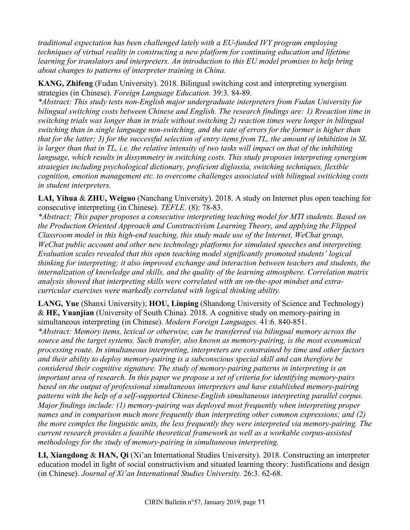*traditional expectation has been challenged lately with a EU-funded IVY program employing techniques of virtual reality in constructing a new platform for continuing education and lifetime learning for translators and interpreters. An introduction to this EU model promises to help bring about changes to patterns of interpreter training in China.*

**KANG, Zhifeng** (Fudan University). 2018. Bilingual switching cost and interpreting synergism strategies (in Chinese). *Foreign Language Education.* 39:3. 84-89.

*\*Abstract: This study tests non-English major undergraduate interpreters from Fudan University for bilingual switching costs between Chinese and English. The research findings are: 1) Rreaction time in switching trials was longer than in trials without switching 2) reaction times were longer in bilingual switching than in single language non-switching, and the rate of errors for the former is higher than that for the latter; 3) for the successful selection of entry items from TL, the amount of inhibition in SL is larger than that in TL, i.e. the relative intensity of two tasks will impact on that of the inhibiting language, which results in dissymmetry in switching costs. This study proposes interpreting synergism strategies including psychological dictionary, proficient diglossia, switching techniques, flexible cognition, emotion management etc. to overcome challenges associated with bilingual switiching costs in student interpreters.*

**LAI, Yihua** & **ZHU, Weiguo** (Nanchang University). 2018. A study on Internet plus open teaching for consecutive interpreting (in Chinese). *TEFLE.* (8): 78-83.

*\*Abstract: This paper proposes a consecutive interpreting teaching model for MTI students. Based on the Production Oriented Approach and Constructivism Learning Theory, and applying the Flipped Classroom model in this high-end teaching, this study made use of the Internet, WeChat group, WeChat public account and other new technology platforms for simulated speeches and interpreting. Evaluation scales revealed that this open teaching model significantly promoted students' logical thinking for interpreting; it also improved exchange and interaction between teachers and students, the internalization of knowledge and skills, and the quality of the learning atmosphere. Correlation matrix analysis showed that interpreting skills were correlated with an on-the-spot mindset and extracurricular exercises were markedly correlated with logical thinking ability.* 

**LANG, Yue** (Shanxi University); **HOU, Linping** (Shandong University of Science and Technology) & **HE, Yuanjian** (University of South China). 2018. A cognitive study on memory-pairing in simultaneous interpreting (in Chinese). *Modern Foreign Languages.* 41:6. 840-851.

*\*Abstract: Memory items, lexical or otherwise, can be transferred via bilingual memory across the source and the target systems. Such transfer, also known as memory-pairing, is the most economical processing route. In simultaneous interpreting, interpreters are constrained by time and other factors and their ability to deploy memory-pairing is a subconscious special skill and can therefore be considered their cognitive signature. The study of memory-pairing patterns in interpreting is an important area of research. In this paper we propose a set of criteria for identifying memory-pairs based on the output of professional simultaneous interpreters and have established memory-pairing patterns with the help of a self-supported Chinese-English simultaneous interpreting parallel corpus. Major findings include: (1) memory-pairing was deployed most frequently when interpreting proper names and in comparison much more frequently than interpreting other common expressions; and (2) the more complex the linguistic units, the less frequently they were interpreted via memory-pairing. The current research provides a feasible theoretical framework as well as a workable corpus-assisted methodology for the study of memory-pairing in simultaneous interpreting.* 

**LI, Xiangdong** & **HAN, Qi** (Xi'an International Studies University). 2018. Constructing an interpreter education model in light of social constructivism and situated learning theory: Justifications and design (in Chinese). *Journal of Xi'an International Studies University.* 26:3. 62-68.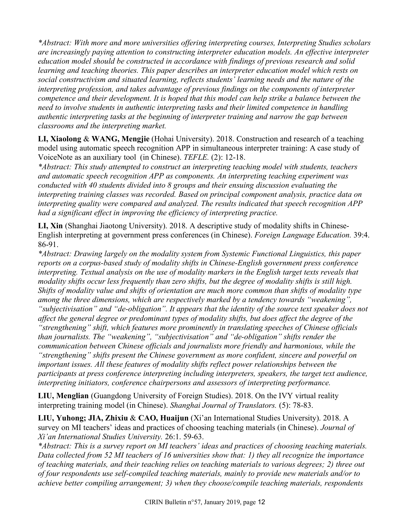*\*Abstract: With more and more universities offering interpreting courses, Interpreting Studies scholars are increasingly paying attention to constructing interpreter education models. An effective interpreter education model should be constructed in accordance with findings of previous research and solid learning and teaching theories. This paper describes an interpreter education model which rests on social constructivism and situated learning, reflects students' learning needs and the nature of the interpreting profession, and takes advantage of previous findings on the components of interpreter competence and their development. It is hoped that this model can help strike a balance between the need to involve students in authentic interpreting tasks and their limited competence in handling authentic interpreting tasks at the beginning of interpreter training and narrow the gap between classrooms and the interpreting market.* 

**LI, Xiaolong** & **WANG, Mengjie** (Hohai University). 2018. Construction and research of a teaching model using automatic speech recognition APP in simultaneous interpreter training: A case study of VoiceNote as an auxiliary tool (in Chinese). *TEFLE.* (2): 12-18.

*\*Abstract: This study attempted to construct an interpreting teaching model with students, teachers and automatic speech recognition APP as components. An interpreting teaching experiment was conducted with 40 students divided into 8 groups and their ensuing discussion evaluating the interpreting training classes was recorded. Based on principal component analysis, practice data on interpreting quality were compared and analyzed. The results indicated that speech recognition APP had a significant effect in improving the efficiency of interpreting practice.* 

**LI, Xin** (Shanghai Jiaotong University). 2018. A descriptive study of modality shifts in Chinese-English interpreting at government press conferences (in Chinese). *Foreign Language Education.* 39:4. 86-91.

*\*Abstract: Drawing largely on the modality system from Systemic Functional Linguistics, this paper reports on a corpus-based study of modality shifts in Chinese-English government press conference interpreting. Textual analysis on the use of modality markers in the English target texts reveals that modality shifts occur less frequently than zero shifts, but the degree of modality shifts is still high. Shifts of modality value and shifts of orientation are much more common than shifts of modality type among the three dimensions, which are respectively marked by a tendency towards "weakening", "subjectivisation" and "de-obligation". It appears that the identity of the source text speaker does not affect the general degree or predominant types of modality shifts, but does affect the degree of the "strengthening" shift, which features more prominently in translating speeches of Chinese officials than journalists. The "weakening", "subjectivisation" and "de-obligation" shifts render the communication between Chinese officials and journalists more friendly and harmonious, while the "strengthening" shifts present the Chinese government as more confident, sincere and powerful on important issues. All these features of modality shifts reflect power relationships between the participants at press conference interpreting including interpreters, speakers, the target text audience, interpreting initiators, conference chairpersons and assessors of interpreting performance.* 

**LIU, Menglian** (Guangdong University of Foreign Studies). 2018. On the IVY virtual reality interpreting training model (in Chinese). *Shanghai Journal of Translators.* (5): 78-83.

**LIU, Yuhong; JIA, Zhixiu** & **CAO, Huaijun** (Xi'an International Studies University). 2018. A survey on MI teachers' ideas and practices of choosing teaching materials (in Chinese). *Journal of Xi'an International Studies University.* 26:1. 59-63.

*\*Abstract: This is a survey report on MI teachers' ideas and practices of choosing teaching materials. Data collected from 52 MI teachers of 16 universities show that: 1) they all recognize the importance of teaching materials, and their teaching relies on teaching materials to various degrees; 2) three out of four respondents use self-compiled teaching materials, mainly to provide new materials and/or to achieve better compiling arrangement; 3) when they choose/compile teaching materials, respondents*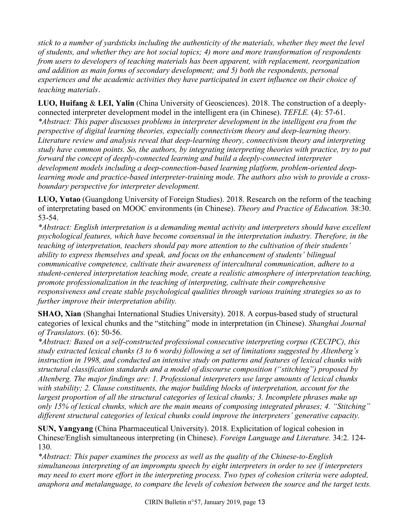*stick to a number of yardsticks including the authenticity of the materials, whether they meet the level of students, and whether they are hot social topics; 4) more and more transformation of respondents from users to developers of teaching materials has been apparent, with replacement, reorganization and addition as main forms of secondary development; and 5) both the respondents, personal experiences and the academic activities they have participated in exert influence on their choice of teaching materials*.

**LUO, Huifang** & **LEI, Yalin** (China University of Geosciences). 2018. The construction of a deeplyconnected interpreter development model in the intelligent era (in Chinese). *TEFLE.* (4): 57-61. *\*Abstract: This paper discusses problems in interpreter development in the intelligent era from the perspective of digital learning theories, especially connectivism theory and deep-learning theory. Literature review and analysis reveal that deep-learning theory, connectivism theory and interpreting study have common points. So, the authors, by integrating interpreting theories with practice, try to put forward the concept of deeply-connected learning and build a deeply-connected interpreter development models including a deep-connection-based learning platform, problem-oriented deep*learning mode and practice-based interpreter-training mode. The authors also wish to provide a cross*boundary perspective for interpreter development.* 

**LUO, Yutao** (Guangdong University of Foreign Studies). 2018. Research on the reform of the teaching of interpretating based on MOOC environments (in Chinese). *Theory and Practice of Education.* 38:30. 53-54.

*\*Abstract: English interpretation is a demanding mental activity and interpreters should have excellent psychological features, which have become consensual in the interpretation industry. Therefore, in the teaching of interpretation, teachers should pay more attention to the cultivation of their students' ability to express themselves and speak, and focus on the enhancement of students' bilingual communicative competence, cultivate their awareness of intercultural communication, adhere to a student-centered interpretation teaching mode, create a realistic atmosphere of interpretation teaching, promote professionalization in the teaching of interpreting, cultivate their comprehensive responsiveness and create stable psychological qualities through various training strategies so as to further improve their interpretation ability.*

**SHAO, Xian** (Shanghai International Studies University). 2018. A corpus-based study of structural categories of lexical chunks and the "stitching" mode in interpretation (in Chinese). *Shanghai Journal of Translators.* (6): 50-56.

*\*Abstract: Based on a self-constructed professional consecutive interpreting corpus (CECIPC), this study extracted lexical chunks (3 to 6 words) following a set of limitations suggested by Altenberg's instruction in 1998, and conducted an intensive study on patterns and features of lexical chunks with structural classification standards and a model of discourse composition ("stitching") proposed by Altenberg. The major findings are: 1. Professional interpreters use large amounts of lexical chunks with stability; 2. Clause constituents, the major building blocks of interpretation, account for the largest proportion of all the structural categories of lexical chunks; 3. Incomplete phrases make up only 15% of lexical chunks, which are the main means of composing integrated phrases; 4. "Stitching" different structural categories of lexical chunks could improve the interpreters' generative capacity.* 

**SUN, Yangyang** (China Pharmaceutical University). 2018. Explicitation of logical cohesion in Chinese/English simultaneous interpreting (in Chinese). *Foreign Language and Literature.* 34:2. 124- 130.

*\*Abstract: This paper examines the process as well as the quality of the Chinese-to-English simultaneous interpreting of an impromptu speech by eight interpreters in order to see if interpreters may need to exert more effort in the interpreting process. Two types of cohesion criteria were adopted, anaphora and metalanguage, to compare the levels of cohesion between the source and the target texts.*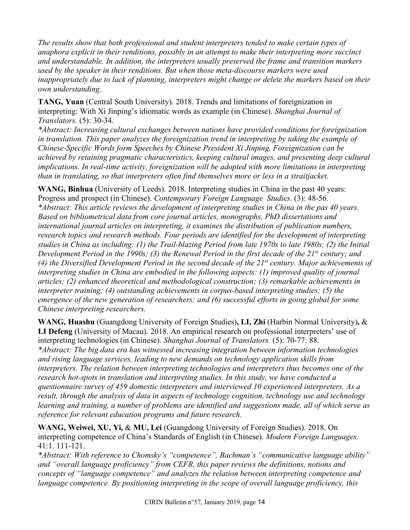*The results show that both professional and student interpreters tended to make certain types of anaphora explicit in their renditions, possibly in an attempt to make their interpreting more succinct and understandable. In addition, the interpreters usually preserved the frame and transition markers used by the speaker in their renditions. But when those meta-discourse markers were used inappropriately due to lack of planning, interpreters might change or delete the markers based on their own understanding.* 

**TANG, Yuan** (Central South University). 2018. Trends and limitations of foreignization in interpreting: With Xi Jinping's idiomatic words as example (in Chinese). *Shanghai Journal of Translators.* (5): 30-34.

*\*Abstract: Increasing cultural exchanges between nations have provided conditions for foreignization in translation. This paper analyzes the foreignization trend in interpreting by taking the example of Chinese-Specific Words form Speeches by Chinese President Xi Jinping. Foreignization can be achieved by retaining pragmatic characteristics, keeping cultural images, and presenting deep cultural implications. In real-time activity, foreignization will be adopted with more limitations in interpreting than in translating, so that interpreters often find themselves more or less in a straitjacket.*

**WANG, Binhua** (University of Leeds). 2018. Interpreting studies in China in the past 40 years: Progress and prospect (in Chinese). *Contemporary Foreign Language Studies.* (3): 48-56. *\*Abstract: This article reviews the development of interpreting studies in China in the pas 40 years. Based on bibliometrical data from core journal articles, monographs, PhD dissertations and international journal articles on interpreting, it examines the distribution of publication numbers, research topics and research methods. Four periods are identified for the development of interpreting studies in China as including: (1) the Trail-blazing Period from late 1970s to late 1980s; (2) the Initial Development Period in the 1990s; (3) the Renewal Period in the first decade of the 21st century; and (4) the Diversified Development Period in the second decade of the 21st century. Major achievements of interpreting studies in China are embodied in the following aspects: (1) improved quality of journal articles; (2) enhanced theoretical and methodological construction; (3) remarkable achievements in interpreter training; (4) outstanding achievements in corpus-based interpreting studies; (5) the emergence of the new generation of researchers; and (6) successful efforts in going global for some Chinese interpreting researchers.* 

**WANG, Huashu** (Guangdong University of Foreign Studies)**, LI, Zhi** (Harbin Normal University)**,** & **LI Defeng** (University of Macau). 2018. An empirical research on professional interpreters' use of interpreting technologies (in Chinese). *Shanghai Journal of Translators.* (5): 70-77; 88. *\*Abstract: The big data era has witnessed increasing integration between information technologies and rising language services, leading to new demands on technology application skills from interpreters. The relation between interpreting technologies and interpreters thus becomes one of the research hot-spots in translation and interpreting studies. In this study, we have conducted a questionnaire survey of 459 domestic interpreters and interviewed 10 experienced interpreters. As a result, through the analysis of data in aspects of technology cognition, technology use and technology learning and training, a number of problems are identified and suggestions made, all of which serve as reference for relevant education programs and future research.* 

**WANG, Weiwei, XU, Yi,** & **MU, Lei** (Guangdong University of Foreign Studies). 2018. On interpreting competence of China's Standards of English (in Chinese). *Modern Foreign Languages.* 41:1. 111-121.

*\*Abstract: With reference to Chomsky's "competence", Bachman's "communicative language ability" and "overall language proficiency" from CEFR, this paper reviews the definitions, notions and concepts of "language competence" and analyzes the relation between interpreting competence and language competence. By positioning interpreting in the scope of overall language proficiency, this*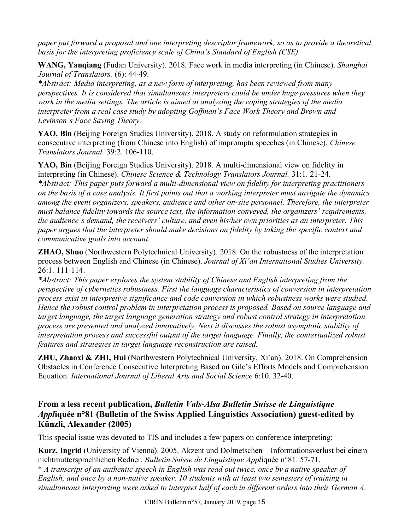*paper put forward a proposal and one interpreting descriptor framework, so as to provide a theoretical basis for the interpreting proficiency scale of China's Standard of English (CSE).* 

**WANG, Yanqiang** (Fudan University). 2018. Face work in media interpreting (in Chinese). *Shanghai Journal of Translators.* (6): 44-49.

*\*Abstract: Media interpreting, as a new form of interpreting, has been reviewed from many perspectives. It is considered that simultaneous interpreters could be under huge pressures when they work in the media settings. The article is aimed at analyzing the coping strategies of the media interpreter from a real case study by adopting Goffman's Face Work Theory and Brown and Levinson's Face Saving Theory.* 

YAO, Bin *(Beijing Foreign Studies University)*. 2018. A study on reformulation strategies in consecutive interpreting (from Chinese into English) of impromptu speeches (in Chinese). *Chinese Translators Journal.* 39:2. 106-110.

**YAO, Bin** (Beijing Foreign Studies University). 2018. A multi-dimensional view on fidelity in interpreting (in Chinese). *Chinese Science & Technology Translators Journal.* 31:1. 21-24. *\*Abstract: This paper puts forward a multi-dimensional view on fidelity for interpreting practitioners on the basis of a case analysis. It first points out that a working interpreter must navigate the dynamics among the event organizers, speakers, audience and other on-site personnel. Therefore, the interpreter must balance fidelity towards the source text, the information conveyed, the organizers' requirements, the audience's demand, the receivers' culture, and even his/her own priorities as an interpreter. This paper argues that the interpreter should make decisions on fidelity by taking the specific context and communicative goals into account.*

**ZHAO, Shuo** (Northwestern Polytechnical University). 2018. On the robustness of the interpretation process between English and Chinese (in Chinese). *Journal of Xi'an International Studies University.*  $26 \cdot 1$  111-114

*\*Abstract: This paper explores the system stability of Chinese and English interpreting from the perspective of cybernetics robustness. First the language characteristics of conversion in interpretation process exist in interpretive significance and code conversion in which robustness works were studied. Hence the robust control problem in interpretation process is proposed. Based on source language and target language, the target language generation strategy and robust control strategy in interpretation process are presented and analyzed innovatively. Next it discusses the robust asymptotic stability of interpretation process and successful output of the target language. Finally, the contextualized robust features and strategies in target language reconstruction are raised.* 

**ZHU, Zhaoxi & ZHI, Hui** (Northwestern Polytechnical University, Xi'an). 2018. On Comprehension Obstacles in Conference Consecutive Interpreting Based on Gile's Efforts Models and Comprehension Equation. *International Journal of Liberal Arts and Social Science* 6:10. 32-40.

## **From a less recent publication,** *Bulletin Vals-Alsa Bulletin Suisse de Linguistique Appl***iquée n°81 (Bulletin of the Swiss Applied Linguistics Association) guest-edited by Künzli, Alexander (2005)**

This special issue was devoted to TIS and includes a few papers on conference interpreting:

**Kurz, Ingrid** (University of Vienna). 2005. Akzent und Dolmetschen – Informationsverlust bei einem nichtmuttersprachlichen Redner. *Bulletin Suisse de Linguistique Appl*iquée n°81. 57-71.

\* *A transcript of an authentic speech in English was read out twice, once by a native speaker of English, and once by a non-native speaker. 10 students with at least two semesters of training in simultaneous interpreting were asked to interpret half of each in different orders into their German A.*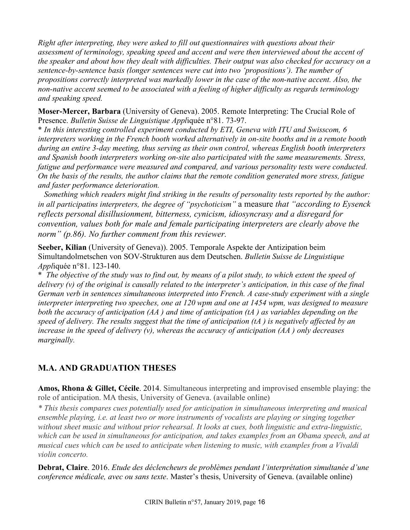*Right after interpreting, they were asked to fill out questionnaires with questions about their assessment of terminology, speaking speed and accent and were then interviewed about the accent of the speaker and about how they dealt with difficulties. Their output was also checked for accuracy on a sentence-by-sentence basis (longer sentences were cut into two 'propositions'). The number of propositions correctly interpreted was markedly lower in the case of the non-native accent. Also, the non-native accent seemed to be associated with a feeling of higher difficulty as regards terminology and speaking speed.*

**Moser-Mercer, Barbara** (University of Geneva). 2005. Remote Interpreting: The Crucial Role of Presence. *Bulletin Suisse de Linguistique Appl*iquée n°81. 73-97.

\* *In this interesting controlled experiment conducted by ETI, Geneva with ITU and Swisscom, 6 interpreters working in the French booth worked alternatively in on-site booths and in a remote booth during an entire 3-day meeting, thus serving as their own control, whereas English booth interpreters and Spanish booth interpreters working on-site also participated with the same measurements. Stress, fatigue and performance were measured and compared, and various personality tests were conducted. On the basis of the results, the author claims that the remote condition generated more stress, fatigue and faster performance deterioration.*

 *Something which readers might find striking in the results of personality tests reported by the author: in all participatins interpreters, the degree of "psychoticism"* a measure *that "according to Eysenck reflects personal disillusionment, bitterness, cynicism, idiosyncrasy and a disregard for convention, values both for male and female participating interpreters are clearly above the norm" (p.86). No further comment from this reviewer.*

**Seeber, Kilian** (University of Geneva)). 2005. Temporale Aspekte der Antizipation beim Simultandolmetschen von SOV-Strukturen aus dem Deutschen. *Bulletin Suisse de Linguistique Appl*iquée n°81. 123-140.

\* *The objective of the study was to find out, by means of a pilot study, to which extent the speed of delivery (v) of the original is causally related to the interpreter's anticipation, in this case of the final German verb in sentences simultaneous interpreted into French. A case-study experiment with a single interpreter interpreting two speeches, one at 120 wpm and one at 1454 wpm, was designed to measure both the accuracy of anticipation (AA ) and time of anticipation (tA ) as variables depending on the speed of delivery. The results suggest that the time of anticipation (tA ) is negatively affected by an increase in the speed of delivery (v), whereas the accuracy of anticipation (AA ) only decreases marginally.*

## **M.A. AND GRADUATION THESES**

**Amos, Rhona & Gillet, Cécile**. 2014. Simultaneous interpreting and improvised ensemble playing: the role of anticipation. MA thesis, University of Geneva. (available online)

*\* This thesis compares cues potentially used for anticipation in simultaneous interpreting and musical ensemble playing, i.e. at least two or more instruments of vocalists are playing or singing together without sheet music and without prior rehearsal. It looks at cues, both linguistic and extra-linguistic, which can be used in simultaneous for anticipation, and takes examples from an Obama speech, and at musical cues which can be used to anticipate when listening to music, with examples from a Vivaldi violin concerto.* 

**Debrat, Claire**. 2016. *Etude des déclencheurs de problèmes pendant l'interprétation simultanée d'une conference médicale, avec ou sans texte*. Master's thesis, University of Geneva. (available online)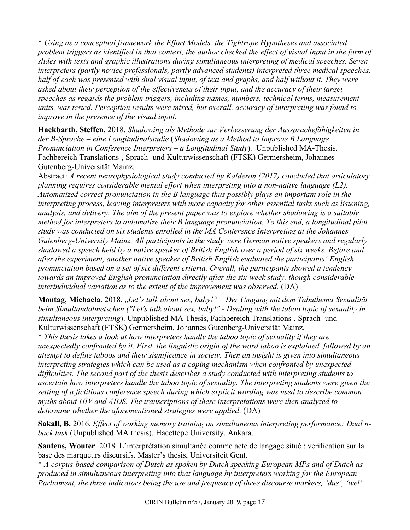\* *Using as a conceptual framework the Effort Models, the Tightrope Hypotheses and associated problem triggers as identified in that context, the author checked the effect of visual input in the form of slides with texts and graphic illustrations during simultaneous interpreting of medical speeches. Seven interpreters (partly novice professionals, partly advanced students) interpreted three medical speeches, half of each was presented with dual visual input, of text and graphs, and half without it. They were asked about their perception of the effectiveness of their input, and the accuracy of their target speeches as regards the problem triggers, including names, numbers, technical terms, measurement units, was tested. Perception results were mixed, but overall, accuracy of interpreting was found to improve in the presence of the visual input.*

**Hackbarth, Steffen.** 2018. *Shadowing als Methode zur Verbesserung der Aussprachefähigkeiten in der B-Sprache – eine Longitudinalstudie* (*Shadowing as a Method to Improve B Language Pronunciation in Conference Interpreters – a Longitudinal Study*). Unpublished MA-Thesis. Fachbereich Translations-, Sprach- und Kulturwissenschaft (FTSK) Germersheim, Johannes Gutenberg-Universität Mainz.

Abstract: *A recent neurophysiological study conducted by Kalderon (2017) concluded that articulatory planning requires considerable mental effort when interpreting into a non-native language (L2). Automatized correct pronunciation in the B language thus possibly plays an important role in the interpreting process, leaving interpreters with more capacity for other essential tasks such as listening, analysis, and delivery. The aim of the present paper was to explore whether shadowing is a suitable method for interpreters to automatize their B language pronunciation. To this end, a longitudinal pilot study was conducted on six students enrolled in the MA Conference Interpreting at the Johannes Gutenberg-University Mainz. All participants in the study were German native speakers and regularly shadowed a speech held by a native speaker of British English over a period of six weeks. Before and after the experiment, another native speaker of British English evaluated the participants' English pronunciation based on a set of six different criteria. Overall, the participants showed a tendency towards an improved English pronunciation directly after the six-week study, though considerable interindividual variation as to the extent of the improvement was observed.* (DA)

**Montag, Michaela.** 2018. "*Let's talk about sex, baby!" – Der Umgang mit dem Tabuthema Sexualität beim Simultandolmetschen ("Let's talk about sex, baby!" - Dealing with the taboo topic of sexuality in simultaneous interpreting*). Unpublished MA Thesis, Fachbereich Translations-, Sprach- und Kulturwissenschaft (FTSK) Germersheim, Johannes Gutenberg-Universität Mainz.

\* *This thesis takes a look at how interpreters handle the taboo topic of sexuality if they are unexpectedly confronted by it. First, the linguistic origin of the word taboo is explained, followed by an attempt to define taboos and their significance in society. Then an insight is given into simultaneous interpreting strategies which can be used as a coping mechanism when confronted by unexpected difficulties. The second part of the thesis describes a study conducted with interpreting students to ascertain how interpreters handle the taboo topic of sexuality. The interpreting students were given the setting of a fictitious conference speech during which explicit wording was used to describe common myths about HIV and AIDS. The transcriptions of these interpretations were then analyzed to determine whether the aforementioned strategies were applied*. (DA)

**Sakall, B.** 2016. *Effect of working memory training on simultaneous interpreting performance: Dual nback task* (Unpublished MA thesis). Hacettepe University, Ankara.

**Santens, Wouter**. 2018. L'interprétation simultanée comme acte de langage situé : verification sur la base des marqueurs discursifs. Master's thesis, Universiteit Gent.

\* *A corpus-based comparison of Dutch as spoken by Dutch speaking European MPs and of Dutch as produced in simultaneous interpreting into that language by interpreters working for the European Parliament, the three indicators being the use and frequency of three discourse markers, 'dus', 'wel'*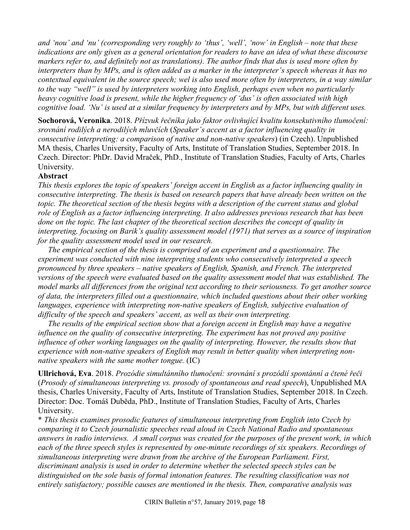*and 'nou' and 'nu' (corresponding very roughly to 'thus', 'well', 'now' in English – note that these indications are only given as a general orientation for readers to have an idea of what these discourse markers refer to, and definitely not as translations). The author finds that dus is used more often by interpreters than by MPs, and is often added as a marker in the interpreter's speech whereas it has no contextual equivalent in the source speech; wel is also used more often by interpreters, in a way similar to the way "well" is used by interpreters working into English, perhaps even when no particularly heavy cognitive load is present, while the higher frequency of 'dus' is often associated with high cognitive load. 'Nu' is used at a similar frequency by interpreters and by MPs, but with different uses.*

**Sochorová, Veronika**. 2018. *Přízvuk řečníka jako faktor ovlivňující kvalitu konsekutivního tlumočení: srovnání rodilých a nerodilých mluvčích* (*Speaker's accent as a factor influencing quality in consecutive interpreting: a comparison of native and non-native speakers*) (in Czech). Unpublished MA thesis, Charles University, Faculty of Arts, Institute of Translation Studies, September 2018. In Czech. Director: PhDr. David Mraček, PhD., Institute of Translation Studies, Faculty of Arts, Charles University.

#### **Abstract**

*This thesis explores the topic of speakers' foreign accent in English as a factor influencing quality in consecutive interpreting. The thesis is based on research papers that have already been written on the topic. The theoretical section of the thesis begins with a description of the current status and global role of English as a factor influencing interpreting. It also addresses previous research that has been done on the topic. The last chapter of the theoretical section describes the concept of quality in interpreting, focusing on Barik's quality assessment model (1971) that serves as a source of inspiration for the quality assessment model used in our research.*

 *The empirical section of the thesis is comprised of an experiment and a questionnaire. The experiment was conducted with nine interpreting students who consecutively interpreted a speech pronounced by three speakers – native speakers of English, Spanish, and French. The interpreted versions of the speech were evaluated based on the quality assessment model that was established. The model marks all differences from the original text according to their seriousness. To get another source of data, the interpreters filled out a questionnaire, which included questions about their other working languages, experience with interpreting non-native speakers of English, subjective evaluation of difficulty of the speech and speakers' accent, as well as their own interpreting.*

 *The results of the empirical section show that a foreign accent in English may have a negative influence on the quality of consecutive interpreting. The experiment has not proved any positive*  influence of other working languages on the quality of interpreting. However, the results show that *experience with non-native speakers of English may result in better quality when interpreting nonnative speakers with the same mother tongue.* (IC)

**Ullrichová, Eva**. 2018. *Prozódie simultánního tlumočení: srovnání s prozódií spontánní a čtené řeči* (*Prosody of simultaneous interpreting vs. prosody of spontaneous and read speech*), Unpublished MA thesis, Charles University, Faculty of Arts, Institute of Translation Studies, September 2018. In Czech. Director: Doc. Tomáš Duběda, PhD., Institute of Translation Studies, Faculty of Arts, Charles University.

\* *This thesis examines prosodic features of simultaneous interpreting from English into Czech by comparing it to Czech journalistic speeches read aloud in Czech National Radio and spontaneous answers in radio interviews. A small corpus was created for the purposes of the present work, in which each of the three speech styles is represented by one-minute recordings of six speakers. Recordings of simultaneous interpreting were drawn from the archive of the European Parliament. First, discriminant analysis is used in order to determine whether the selected speech styles can be distinguished on the sole basis of formal intonation features. The resulting classification was not entirely satisfactory; possible causes are mentioned in the thesis. Then, comparative analysis was*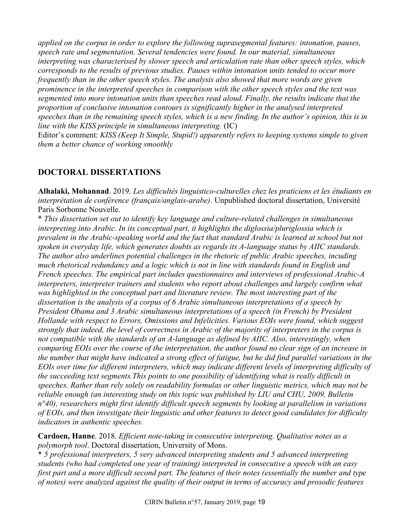*applied on the corpus in order to explore the following suprasegmental features: intonation, pauses, speech rate and segmentation. Several tendencies were found. In our material, simultaneous interpreting was characterised by slower speech and articulation rate than other speech styles, which corresponds to the results of previous studies. Pauses within intonation units tended to occur more frequently than in the other speech styles. The analysis also showed that more words are given prominence in the interpreted speeches in comparison with the other speech styles and the text was segmented into more intonation units than speeches read aloud. Finally, the results indicate that the proportion of conclusive intonation contours is significantly higher in the analysed interpreted speeches than in the remaining speech styles, which is a new finding. In the author's opinion, this is in line with the KISS principle in simultaneous interpreting.* (IC)

Editor's comment: *KISS (Keep It Simple, Stupid!) apparently refers to keeping systems simple to given them a better chance of working smoothly*

## **DOCTORAL DISSERTATIONS**

**Alhalaki, Mohannad**. 2019. *Les difficultés linguistico-culturelles chez les praticiens et les étudiants en interprétation de conférence (français/anglais-arabe)*. Unpublished doctoral dissertation, Université Paris Sorbonne Nouvelle.

\* *This dissertation set out to identify key language and culture-related challenges in simultaneous interpreting into Arabic. In its conceptual part, it highlights the diglossia/pluriglossia which is prevalent in the Arabic-speaking world and the fact that standard Arabic is learned at school but not spoken in everyday life, which generates doubts as regards its A-language status by AIIC standards. The author also underlines potential challenges in the rhetoric of public Arabic speeches, incuding much rhetorical redundancy and a logic which is not in line with standards found in English and French speeches. The empirical part includes questionnaires and interviews of professional Arabic-A interpreters, interpreter trainers and students who report about challenges and largely confirm what was highlighted in the conceptual part and literature review. The most interesting part of the dissertation is the analysis of a corpus of 6 Arabic simultaneous interpretations of a speech by President Obama and 3 Arabic simultaneous interpretations of a speech (in French) by President Hollande with respect to Errors, Omissions and Infelicities. Various EOIs were found, which suggest strongly that indeed, the level of correctness in Arabic of the majority of interpreters in the corpus is not compatible with the standards of an A-language as defined by AIIC. Also, interestingly, when comparing EOIs over the course of the interpretation, the author found no clear sign of an increase in the number that might have indicated a strong effect of fatigue, but he did find parallel variations in the EOIs over time for different interpreters, which may indicate different levels of interpreting difficulty of the succeeding text segments.This points to one possibility of identifying what is really difficult in speeches. Rather than rely solely on readability formulas or other linguistic metrics, which may not be reliable enough (an interesting study on this topic was published by LIU and CHU, 2009, Bulletin n°40), researchers might first identify difficult speech segments by looking at parallelism in variations of EOIs, and then investigate their linguistic and other features to detect good candidates for difficulty indicators in authentic speeches.*

**Cardoen, Hanne**. 2018. *Efficient note-taking in consecutive interpreting. Qualitative notes as a polymorph tool*. Doctoral dissertation, University of Mons.

\* *5 professional interpreters, 5 very advanced interpreting students and 5 advanced interpreting students (who had completed one year of training) interpreted in consecutive a speech with an easy first part and a more difficult second part. The features of their notes (essentially the number and type of notes) were analyzed against the quality of their output in terms of accuracy and prosodic features*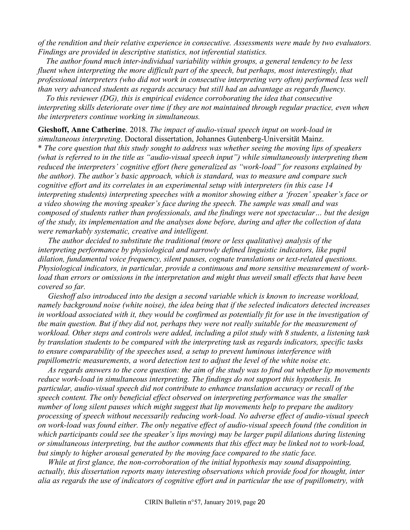*of the rendition and their relative experience in consecutive. Assessments were made by two evaluators. Findings are provided in descriptive statistics, not inferential statistics.*

 *The author found much inter-individual variability within groups, a general tendency to be less fluent when interpreting the more difficult part of the speech, but perhaps, most interestingly, that professional interpreters (who did not work in consecutive interpreting very often) performed less well than very advanced students as regards accuracy but still had an advantage as regards fluency.*

 *To this reviewer (DG), this is empirical evidence corroborating the idea that consecutive interpreting skills deteriorate over time if they are not maintained through regular practice, even when the interpreters continue working in simultaneous.*

**Gieshoff, Anne Catherine**. 2018. *The impact of audio-visual speech input on work-load in simultaneous interpreting*. Doctoral dissertation, Johannes Gutenberg-Universität Mainz.

\* *The core question that this study sought to address was whether seeing the moving lips of speakers (what is referred to in the title as "audio-visual speech input") while simultaneously interpreting them reduced the interpreters' cognitive effort (here generalized as "work-load" for reasons explained by the author). The author's basic approach, which is standard, was to measure and compare such cognitive effort and its correlates in an experimental setup with interpreters (in this case 14 interpreting students) interpreting speeches with a monitor showing either a 'frozen' speaker's face or a video showing the moving speaker's face during the speech. The sample was small and was composed of students rather than professionals, and the findings were not spectacular… but the design of the study, its implementation and the analyses done before, during and after the collection of data were remarkably systematic, creative and intelligent.* 

 *The author decided to substitute the traditional (more or less qualitative) analysis of the interpreting performance by physiological and narrowly defined linguistic indicators, like pupil dilation, fundamental voice frequency, silent pauses, cognate translations or text-related questions. Physiological indicators, in particular, provide a continuous and more sensitive measurement of workload than errors or omissions in the interpretation and might thus unveil small effects that have been covered so far.*

 *Gieshoff also introduced into the design a second variable which is known to increase workload, namely background noise (white noise), the idea being that if the selected indicators detected increases in workload associated with it, they would be confirmed as potentially fit for use in the investigation of the main question. But if they did not, perhaps they were not really suitable for the measurement of workload. Other steps and controls were added, including a pilot study with 8 students, a listening task by translation students to be compared with the interpreting task as regards indicators, specific tasks to ensure comparability of the speeches used, a setup to prevent luminous interference with pupillometric measurements, a word detection test to adjust the level of the white noise etc.*

 *As regards answers to the core question: the aim of the study was to find out whether lip movements reduce work-load in simultaneous interpreting. The findings do not support this hypothesis. In particular, audio-visual speech did not contribute to enhance translation accuracy or recall of the speech content. The only beneficial effect observed on interpreting performance was the smaller number of long silent pauses which might suggest that lip movements help to prepare the auditory processing of speech without necessarily reducing work-load. No adverse effect of audio-visual speech on work-load was found either. The only negative effect of audio-visual speech found (the condition in which participants could see the speaker's lips moving) may be larger pupil dilations during listening or simultaneous interpreting, but the author comments that this effect may be linked not to work-load, but simply to higher arousal generated by the moving face compared to the static face.*

 *While at first glance, the non-corroboration of the initial hypothesis may sound disappointing, actually, this dissertation reports many interesting observations which provide food for thought, inter alia as regards the use of indicators of cognitive effort and in particular the use of pupillometry, with*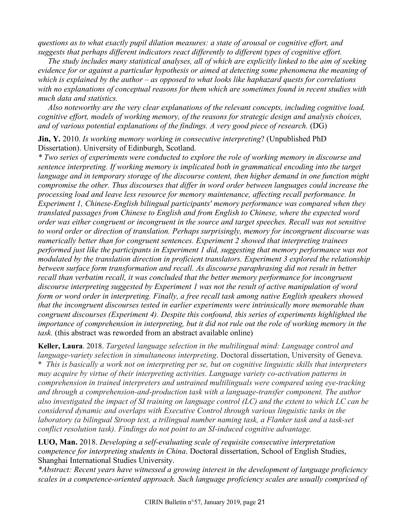*questions as to what exactly pupil dilation measures: a state of arousal or cognitive effort, and suggests that perhaps different indicators react differently to different types of cognitive effort.*

 *The study includes many statistical analyses, all of which are explicitly linked to the aim of seeking evidence for or against a particular hypothesis or aimed at detecting some phenomena the meaning of which is explained by the author – as opposed to what looks like haphazard quests for correlations with no explanations of conceptual reasons for them which are sometimes found in recent studies with much data and statistics.*

 *Also noteworthy are the very clear explanations of the relevant concepts, including cognitive load, cognitive effort, models of working memory, of the reasons for strategic design and analysis choices, and of various potential explanations of the findings. A very good piece of research.* (DG)

**Jin, Y.** 2010. *Is working memory working in consecutive interpreting*? (Unpublished PhD Dissertation). University of Edinburgh, Scotland.

*\* Two series of experiments were conducted to explore the role of working memory in discourse and sentence interpreting. If working memory is implicated both in grammatical encoding into the target language and in temporary storage of the discourse content, then higher demand in one function might compromise the other. Thus discourses that differ in word order between languages could increase the processing load and leave less resource for memory maintenance, affecting recall performance. In Experiment 1, Chinese-English bilingual participants' memory performance was compared when they translated passages from Chinese to English and from English to Chinese, where the expected word order was either congruent or incongruent in the source and target speeches. Recall was not sensitive to word order or direction of translation. Perhaps surprisingly, memory for incongruent discourse was numerically better than for congruent sentences. Experiment 2 showed that interpreting trainees performed just like the participants in Experiment 1 did, suggesting that memory performance was not modulated by the translation direction in proficient translators. Experiment 3 explored the relationship between surface form transformation and recall. As discourse paraphrasing did not result in better recall than verbatim recall, it was concluded that the better memory performance for incongruent discourse interpreting suggested by Experiment 1 was not the result of active manipulation of word form or word order in interpreting. Finally, a free recall task among native English speakers showed that the incongruent discourses tested in earlier experiments were intrinsically more memorable than congruent discourses (Experiment 4). Despite this confound, this series of experiments highlighted the importance of comprehension in interpreting, but it did not rule out the role of working memory in the task.* (this abstract was reworded from an abstract available online)

**Keller, Laura**. 2018. *Targeted language selection in the multilingual mind: Language control and language-variety selection in simultaneous interpreting*. Doctoral dissertation, University of Geneva. \* *This is basically a work not on interpreting per se, but on cognitive linguistic skills that interpreters may acquire by virtue of their interpreting activities. Language variety co-activation patterns in comprehension in trained interpreters and untrained multilinguals were compared using eye-tracking and through a comprehension-and-production task with a language-transfer component. The author also investigated the impact of SI training on language control (LC) and the extent to which LC can be considered dynamic and overlaps with Executive Control through various linguistic tasks in the laboratory (a bilingual Stroop test, a trilingual number naming task, a Flanker task and a task-set conflict resolution task). Findings do not point to an SI-induced cognitive advantage.*

**LUO, Man.** 2018. *Developing a self-evaluating scale of requisite consecutive interpretation competence for interpreting students in China*. Doctoral dissertation, School of English Studies, Shanghai International Studies University.

*\*Abstract: Recent years have witnessed a growing interest in the development of language proficiency scales in a competence-oriented approach. Such language proficiency scales are usually comprised of*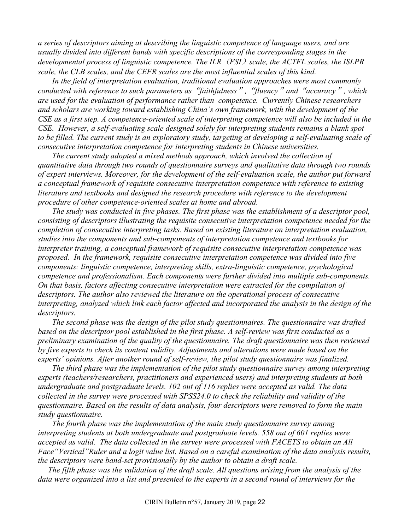*a series of descriptors aiming at describing the linguistic competence of language users, and are usually divided into different bands with specific descriptions of the corresponding stages in the developmental process of linguistic competence. The ILR*(*FSI*)*scale, the ACTFL scales, the ISLPR scale, the CLB scales, and the CEFR scales are the most influential scales of this kind.* 

*In the field of interpretation evaluation, traditional evaluation approaches were most commonly conducted with reference to such parameters as*"*faithfulness*"*,*"*fluency*"*and*"*accuracy*"*, which are used for the evaluation of performance rather than competence. Currently Chinese researchers and scholars are working toward establishing China's own framework, with the development of the CSE as a first step. A competence-oriented scale of interpreting competence will also be included in the CSE. However, a self-evaluating scale designed solely for interpreting students remains a blank spot to be filled. The current study is an exploratory study, targeting at developing a self-evaluating scale of consecutive interpretation competence for interpreting students in Chinese universities.*

*The current study adopted a mixed methods approach, which involved the collection of quantitative data through two rounds of questionnaire surveys and qualitative data through two rounds of expert interviews. Moreover, for the development of the self-evaluation scale, the author put forward a conceptual framework of requisite consecutive interpretation competence with reference to existing literature and textbooks and designed the research procedure with reference to the development procedure of other competence-oriented scales at home and abroad.*

*The study was conducted in five phases. The first phase was the establishment of a descriptor pool, consisting of descriptors illustrating the requisite consecutive interpretation competence needed for the completion of consecutive interpreting tasks. Based on existing literature on interpretation evaluation, studies into the components and sub-components of interpretation competence and textbooks for interpreter training, a conceptual framework of requisite consecutive interpretation competence was proposed. In the framework, requisite consecutive interpretation competence was divided into five components: linguistic competence, interpreting skills, extra-linguistic competence, psychological competence and professionalism. Each components were further divided into multiple sub-components. On that basis, factors affecting consecutive interpretation were extracted for the compilation of descriptors. The author also reviewed the literature on the operational process of consecutive interpreting, analyzed which link each factor affected and incorporated the analysis in the design of the descriptors.* 

*The second phase was the design of the pilot study questionnaires. The questionnaire was drafted based on the descriptor pool established in the first phase. A self-review was first conducted as a preliminary examination of the quality of the questionnaire. The draft questionnaire was then reviewed by five experts to check its content validity. Adjustments and alterations were made based on the experts' opinions. After another round of self-review, the pilot study questionnaire was finalized.* 

*The third phase was the implementation of the pilot study questionnaire survey among interpreting experts (teachers/researchers, practitioners and experienced users) and interpreting students at both undergraduate and postgraduate levels. 102 out of 116 replies were accepted as valid. The data collected in the survey were processed with SPSS24.0 to check the reliability and validity of the questionnaire. Based on the results of data analysis, four descriptors were removed to form the main study questionnaire.* 

*The fourth phase was the implementation of the main study questionnaire survey among interpreting students at both undergraduate and postgraduate levels. 558 out of 601 replies were accepted as valid. The data collected in the survey were processed with FACETS to obtain an All Face"Vertical"Ruler and a logit value list. Based on a careful examination of the data analysis results, the descriptors were band-set provisionally by the author to obtain a draft scale.*

 *The fifth phase was the validation of the draft scale. All questions arising from the analysis of the data were organized into a list and presented to the experts in a second round of interviews for the*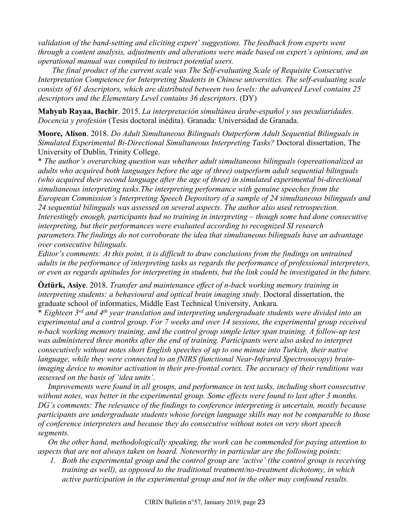*validation of the band-setting and eliciting expert' suggestions. The feedback from experts went through a content analysis, adjustments and alterations were made based on expert's opinions, and an operational manual was compiled to instruct potential users.*

*The final product of the current scale was The Self-evaluating Scale of Requisite Consecutive Interpretation Competence for Interpreting Students in Chinese universities. The self-evaluating scale consists of 61 descriptors, which are distributed between two levels: the advanced Level contains 25*  descriptors and the Elementary Level contains 36 descriptors. (DY)

**Mahyub Rayaa, Bachir**. 2015. *La interpretación simultánea árabe-español y sus peculiaridades. Docencia y profesión* (Tesis doctoral inédita). Granada: Universidad de Granada.

**Moore, Alison**. 2018. *Do Adult Simultaneous Bilinguals Outperform Adult Sequential Bilinguals in Simulated Experimental Bi-Directional Simultaneous Interpreting Tasks?* Doctoral dissertation, The University of Dublin, Trinity College.

\* *The author's overarching question was whether adult simultaneous bilinguals (opereationalized as adults who acquired both languages before the age of three) outperform adult sequential bilinguals (who acquired their second language after the age of three) in simulated experimental bi-directional simultaneous interpreting tasks.The interpreting performance with genuine speeches from the European Commission's Interpreting Speech Depository of a sample of 24 simultaneous bilinguals and 24 sequential bilinguals was assessed on several aspects. The author also used retrospection. Interestingly enough, participants had no training in interpreting – though some had done consecutive interpreting, but their performances were evaluated according to recognized SI research parameters.The findings do not corroborate the idea that simultaneous bilinguals have an advantage over consecutive bilinguals.*

*Editor's comments: At this point, it is difficult to draw conclusions from the findings on untrained adults in the performance of interpreting tasks as regards the performance of professional interpreters, or even as regards aptitudes for interpreting in students, but the link could be investigated in the future.*

**Öztürk, Asiye**. 2018. *Transfer and maintenance effect of n-back working memory training in interpreting students: a behavioural and optical brain imaging study*. Doctoral dissertation, the graduate school of informatics, Middle East Technical University, Ankara.

\* *Eighteen 3rd and 4th year translation and interpreting undergraduate students were divided into an experimental and a control group. For 7 weeks and over 14 sessions, the experimental group received n-back working memory training, and the control group simple letter span training. A follow-up test was administered three months after the end of training. Participants were also asked to interpret consecutively without notes short English speeches of up to one minute into Turkish, their native language, while they were connected to an fNIRS (functional Near-Infrared Spectrosocopy) brainimaging device to monitor activation in their pre-frontal cortex. The accuracy of their renditions was assessed on the basis of 'idea units'.*

 *Improvements were found in all groups, and performance in test tasks, including short consecutive without notes, was better in the experimental group. Some effects were found to last after 3 months. DG's comments: The relevance of the findings to conference interpreting is uncertain, mostly because participants are undergraduate students whose foreign language skills may not be comparable to those of conference interpreters and because they do consecutive without notes on very short speech segments.*

 *On the other hand, methodologically speaking, the work can be commended for paying attention to aspects that are not always taken on board. Noteworthy in particular are the following points:*

*1. Both the experimental group and the control group are 'active' (the control group is receiving training as well), as opposed to the traditional treatment/no-treatment dichotomy, in which active participation in the experimental group and not in the other may confound results.*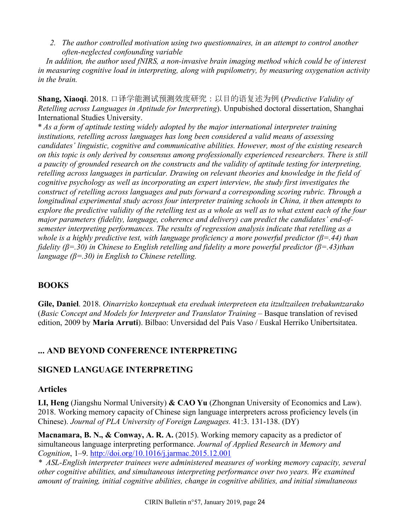*2. The author controlled motivation using two questionnaires, in an attempt to control another often-neglected confounding variable*

 *In addition, the author used fNIRS, a non-invasive brain imaging method which could be of interest in measuring cognitive load in interpreting, along with pupilometry, by measuring oxygenation activity in the brain.*

**Shang, Xiaoqi**. 2018. 口译学能测试预测效度研究:以目的语复述为例 (*Predictive Validity of Retelling across Languages in Aptitude for Interpreting*). Unpubished doctoral dissertation, Shanghai International Studies University.

\* *As a form of aptitude testing widely adopted by the major international interpreter training institutions, retelling across languages has long been considered a valid means of assessing candidates' linguistic, cognitive and communicative abilities. However, most of the existing research on this topic is only derived by consensus among professionally experienced researchers. There is still a paucity of grounded research on the constructs and the validity of aptitude testing for interpreting, retelling across languages in particular. Drawing on relevant theories and knowledge in the field of cognitive psychology as well as incorporating an expert interview, the study first investigates the construct of retelling across languages and puts forward a corresponding scoring rubric. Through a longitudinal experimental study across four interpreter training schools in China, it then attempts to explore the predictive validity of the retelling test as a whole as well as to what extent each of the four major parameters (fidelity, language, coherence and delivery) can predict the candidates' end-ofsemester interpreting performances. The results of regression analysis indicate that retelling as a whole is a highly predictive test, with language proficiency a more powerful predictor (β=.44) than fidelity (β=.30) in Chinese to English retelling and fidelity a more powerful predictor (β=.43)than language (β=.30) in English to Chinese retelling.* 

## **BOOKS**

**Gile, Daniel**. 2018. *Oinarrizko konzeptuak eta ereduak interpreteen eta itzultzaileen trebakuntzarako*  (*Basic Concept and Models for Interpreter and Translator Training* – Basque translation of revised edition, 2009 by **Maria Arruti**). Bilbao: Unversidad del País Vaso / Euskal Herriko Unibertsitatea.

## **... AND BEYOND CONFERENCE INTERPRETING**

### **SIGNED LANGUAGE INTERPRETING**

#### **Articles**

**LI, Heng** (Jiangshu Normal University) **& CAO Yu** (Zhongnan University of Economics and Law). 2018. Working memory capacity of Chinese sign language interpreters across proficiency levels (in Chinese). *Journal of PLA University of Foreign Languages.* 41:3. 131-138. (DY)

**Macnamara, B. N., & Conway, A. R. A.** (2015). Working memory capacity as a predictor of simultaneous language interpreting performance. *Journal of Applied Research in Memory and Cognition*, 1–9. http://doi.org/10.1016/j.jarmac.2015.12.001

*\* ASL-English interpreter trainees were administered measures of working memory capacity, several other cognitive abilities, and simultaneous interpreting performance over two years. We examined amount of training, initial cognitive abilities, change in cognitive abilities, and initial simultaneous*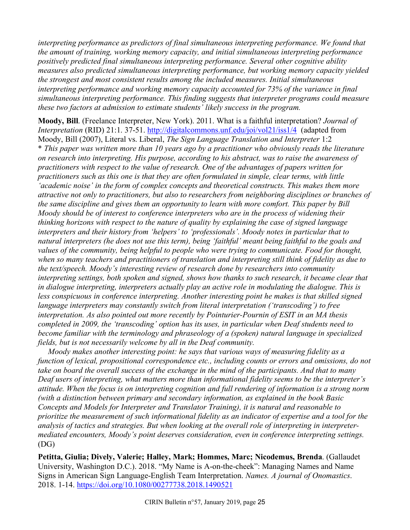*interpreting performance as predictors of final simultaneous interpreting performance. We found that the amount of training, working memory capacity, and initial simultaneous interpreting performance positively predicted final simultaneous interpreting performance. Several other cognitive ability measures also predicted simultaneous interpreting performance, but working memory capacity yielded the strongest and most consistent results among the included measures. Initial simultaneous interpreting performance and working memory capacity accounted for 73% of the variance in final simultaneous interpreting performance. This finding suggests that interpreter programs could measure these two factors at admission to estimate students' likely success in the program.*

**Moody, Bill**. (Freelance Interpreter, New York). 2011. What is a faithful interpretation? *Journal of Interpretation* (RID) 21:1. 37-51. http://digitalcommons.unf.edu/joi/vol21/iss1/4 (adapted from Moody, Bill (2007), Literal vs. Liberal, *The Sign Language Translation and Interpreter* 1:2 \* *This paper was written more than 10 years ago by a practitioner who obviously reads the literature on research into interpreting. His purpose, according to his abstract, was to raise the awareness of practitioners with respect to the value of research. One of the advantages of papers written for practitioners such as this one is that they are often formulated in simple, clear terms, with little 'academic noise' in the form of complex concepts and theoretical constructs. This makes them more attractive not only to practitioners, but also to researchers from neighboring disciplines or branches of the same discipline and gives them an opportunity to learn with more comfort. This paper by Bill Moody should be of interest to conference interpreters who are in the process of widening their thinking horizons with respect to the nature of quality by explaining the case of signed language interpreters and their history from 'helpers' to 'professionals'. Moody notes in particular that to natural interpreters (he does not use this term), being 'faithful' meant being faithful to the goals and values of the community, being helpful to people who were trying to communicate. Food for thought, when so many teachers and practitioners of translation and interpreting still think of fidelity as due to the text/speech. Moody's interesting review of research done by researchers into community interpreting settings, both spoken and signed, shows how thanks to such research, it became clear that*  in dialogue interpreting, interpreters actually play an active role in modulating the dialogue. This is *less conspicuous in conference interpreting. Another interesting point he makes is that skilled signed language interpreters may constantly switch from literal interpretation ('transcoding') to free interpretation. As also pointed out more recently by Pointurier-Pournin of ESIT in an MA thesis completed in 2009, the 'transcoding' option has its uses, in particular when Deaf students need to become familiar with the terminology and phraseology of a (spoken) natural language in specialized fields, but is not necessarily welcome by all in the Deaf community.*

 *Moody makes another interesting point: he says that various ways of measuring fidelity as a function of lexical, propositional correspondence etc., including counts or errors and omissions, do not take on board the overall success of the exchange in the mind of the participants. And that to many Deaf users of interpreting, what matters more than informational fidelity seems to be the interpreter's attitude. When the focus is on interpreting cognition and full rendering of information is a strong norm (with a distinction between primary and secondary information, as explained in the book Basic Concepts and Models for Interpreter and Translator Training), it is natural and reasonable to prioritize the measurement of such informational fidelity as an indicator of expertise and a tool for the analysis of tactics and strategies. But when looking at the overall role of interpreting in interpretermediated encounters, Moody's point deserves consideration, even in conference interpreting settings.*  (DG)

**Petitta, Giulia; Dively, Valerie; Halley, Mark; Hommes, Marc; Nicodemus, Brenda**. (Gallaudet University, Washington D.C.). 2018. "My Name is A-on-the-cheek": Managing Names and Name Signs in American Sign Language-English Team Interpretation. *Names. A journal of Onomastics*. 2018. 1-14. https://doi.org/10.1080/00277738.2018.1490521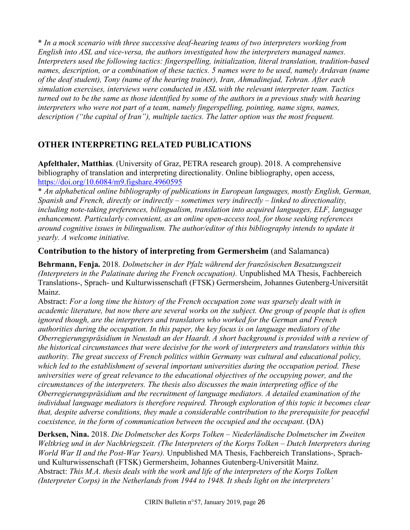\* *In a mock scenario with three successive deaf-hearing teams of two interpreters working from English into ASL and vice-versa, the authors investigated how the interpreters managed names. Interpreters used the following tactics: fingerspelling, initialization, literal translation, tradition-based names, description, or a combination of these tactics. 5 names were to be used, namely Ardavan (name of the deaf student), Tony (name of the hearing trainer), Iran, Ahmadinejad, Tehran. After each simulation exercises, interviews were conducted in ASL with the relevant interpreter team. Tactics turned out to be the same as those identified by some of the authors in a previous study with hearing interpreters who were not part of a team, namely fingerspelling, pointing, name signs, names, description ("the capital of Iran"), multiple tactics. The latter option was the most frequent.*

## **OTHER INTERPRETING RELATED PUBLICATIONS**

**Apfelthaler, Matthias**. (University of Graz, PETRA research group). 2018. A comprehensive bibliography of translation and interpreting directionality. Online bibliography, open access, https://doi.org/10.6084/m9.figshare.4960595

\* *An alphabetical online bibliography of publications in European languages, mostly English, German, Spanish and French, directly or indirectly – sometimes very indirectly – linked to directionality, including note-taking preferences, bilingualism, translation into acquired languages, ELF, language enhancement. Particularly convenient, as an online open-access tool, for those seeking references around cognitive issues in bilingualism. The author/editor of this bibliography intends to update it yearly. A welcome initiative.*

### **Contribution to the history of interpreting from Germersheim** (and Salamanca)

**Behrmann, Fenja.** 2018. *Dolmetscher in der Pfalz während der französischen Besatzungszeit (Interpreters in the Palatinate during the French occupation).* Unpublished MA Thesis, Fachbereich Translations-, Sprach- und Kulturwissenschaft (FTSK) Germersheim, Johannes Gutenberg-Universität Mainz.

Abstract: *For a long time the history of the French occupation zone was sparsely dealt with in academic literature, but now there are several works on the subject. One group of people that is often ignored though, are the interpreters and translators who worked for the German and French authorities during the occupation. In this paper, the key focus is on language mediators of the Oberregierungspräsidium in Neustadt an der Haardt. A short background is provided with a review of the historical circumstances that were decisive for the work of interpreters and translators within this authority. The great success of French politics within Germany was cultural and educational policy, which led to the establishment of several important universities during the occupation period. These universities were of great relevance to the educational objectives of the occupying power, and the circumstances of the interpreters. The thesis also discusses the main interpreting office of the Oberregierungspräsidium and the recruitment of language mediators. A detailed examination of the individual language mediators is therefore required. Through exploration of this topic it becomes clear that, despite adverse conditions, they made a considerable contribution to the prerequisite for peaceful coexistence, in the form of communication between the occupied and the occupant*. (DA)

**Derksen, Nina.** 2018. *Die Dolmetscher des Korps Tolken – Niederländische Dolmetscher im Zweiten Weltkrieg und in der Nachkriegszeit. (The Interpreters of the Korps Tolken – Dutch Interpreters during World War II and the Post-War Years).* Unpublished MA Thesis, Fachbereich Translations-, Sprachund Kulturwissenschaft (FTSK) Germersheim, Johannes Gutenberg-Universität Mainz. Abstract: *This M.A. thesis deals with the work and life of the interpreters of the Korps Tolken (Interpreter Corps) in the Netherlands from 1944 to 1948. It sheds light on the interpreters'*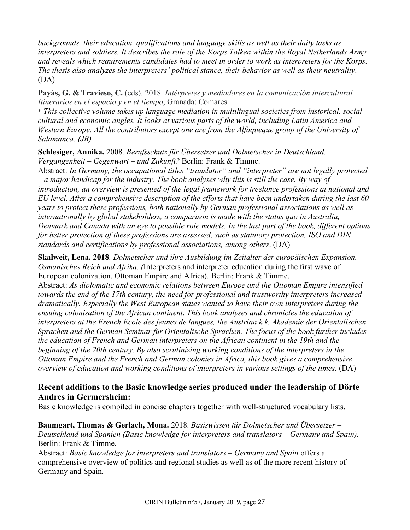*backgrounds, their education, qualifications and language skills as well as their daily tasks as interpreters and soldiers. It describes the role of the Korps Tolken within the Royal Netherlands Army and reveals which requirements candidates had to meet in order to work as interpreters for the Korps. The thesis also analyzes the interpreters' political stance, their behavior as well as their neutrality*. (DA)

**Payàs, G. & Travieso, C.** (eds). 2018. *Intérpretes y mediadores en la comunicación intercultural. Itinerarios en el espacio y en el tiempo*, Granada: Comares.

\* *This collective volume takes up language mediation in multilingual societies from historical, social cultural and economic angles. It looks at various parts of the world, including Latin America and Western Europe. All the contributors except one are from the Alfaqueque group of the University of Salamanca. (JB)*

**Schlesiger, Annika.** 2008. *Berufsschutz für Übersetzer und Dolmetscher in Deutschland. Vergangenheit – Gegenwart – und Zukunft?* Berlin: Frank & Timme.

Abstract: *In Germany, the occupational titles "translator" and "interpreter" are not legally protected – a major handicap for the industry. The book analyses why this is still the case. By way of introduction, an overview is presented of the legal framework for freelance professions at national and EU level. After a comprehensive description of the efforts that have been undertaken during the last 60 years to protect these professions, both nationally by German professional associations as well as internationally by global stakeholders, a comparison is made with the status quo in Australia, Denmark and Canada with an eye to possible role models. In the last part of the book, different options for better protection of these professions are assessed, such as statutory protection, ISO and DIN standards and certifications by professional associations, among others*. (DA)

**Skalweit, Lena. 2018**. *Dolmetscher und ihre Ausbildung im Zeitalter der europäischen Expansion. Osmanisches Reich und Afrika. (*Interpreters and interpreter education during the first wave of European colonization. Ottoman Empire and Africa). Berlin: Frank & Timme. Abstract: *As diplomatic and economic relations between Europe and the Ottoman Empire intensified towards the end of the 17th century, the need for professional and trustworthy interpreters increased dramatically. Especially the West European states wanted to have their own interpreters during the ensuing colonisation of the African continent. This book analyses and chronicles the education of interpreters at the French Ecole des jeunes de langues, the Austrian k.k. Akademie der Orientalischen Sprachen and the German Seminar für Orientalische Sprachen. The focus of the book further includes the education of French and German interpreters on the African continent in the 19th and the beginning of the 20th century. By also scrutinizing working conditions of the interpreters in the Ottoman Empire and the French and German colonies in Africa, this book gives a comprehensive overview of education and working conditions of interpreters in various settings of the times*. (DA)

### **Recent additions to the Basic knowledge series produced under the leadership of Dörte Andres in Germersheim:**

Basic knowledge is compiled in concise chapters together with well-structured vocabulary lists.

**Baumgart, Thomas & Gerlach, Mona.** 2018. *Basiswissen für Dolmetscher und Übersetzer – Deutschland und Spanien (Basic knowledge for interpreters and translators – Germany and Spain).* Berlin: Frank & Timme.

Abstract: *Basic knowledge for interpreters and translators – Germany and Spain* offers a comprehensive overview of politics and regional studies as well as of the more recent history of Germany and Spain.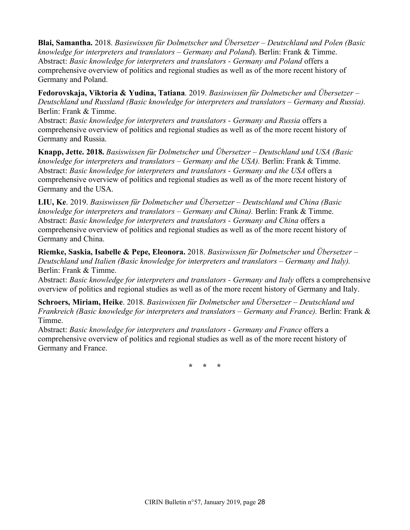**Blai, Samantha.** 2018. *Basiswissen für Dolmetscher und Übersetzer – Deutschland und Polen (Basic knowledge for interpreters and translators – Germany and Poland*). Berlin: Frank & Timme. Abstract: *Basic knowledge for interpreters and translators - Germany and Poland* offers a comprehensive overview of politics and regional studies as well as of the more recent history of Germany and Poland.

**Fedorovskaja, Viktoria & Yudina, Tatiana**. 2019. *Basiswissen für Dolmetscher und Übersetzer – Deutschland und Russland (Basic knowledge for interpreters and translators – Germany and Russia).* Berlin: Frank & Timme.

Abstract: *Basic knowledge for interpreters and translators - Germany and Russia* offers a comprehensive overview of politics and regional studies as well as of the more recent history of Germany and Russia.

**Knapp, Jette. 2018.** *Basiswissen für Dolmetscher und Übersetzer – Deutschland und USA (Basic knowledge for interpreters and translators – Germany and the USA).* Berlin: Frank & Timme. Abstract: *Basic knowledge for interpreters and translators - Germany and the USA* offers a comprehensive overview of politics and regional studies as well as of the more recent history of Germany and the USA.

**LIU, Ke**. 2019. *Basiswissen für Dolmetscher und Übersetzer – Deutschland und China (Basic knowledge for interpreters and translators – Germany and China).* Berlin: Frank & Timme. Abstract: *Basic knowledge for interpreters and translators - Germany and China* offers a comprehensive overview of politics and regional studies as well as of the more recent history of Germany and China.

**Riemke, Saskia, Isabelle & Pepe, Eleonora.** 2018. *Basiswissen für Dolmetscher und Übersetzer – Deutschland und Italien (Basic knowledge for interpreters and translators – Germany and Italy).* Berlin: Frank & Timme.

Abstract: *Basic knowledge for interpreters and translators - Germany and Italy* offers a comprehensive overview of politics and regional studies as well as of the more recent history of Germany and Italy.

**Schroers, Miriam, Heike**. 2018. *Basiswissen für Dolmetscher und Übersetzer – Deutschland und Frankreich (Basic knowledge for interpreters and translators – Germany and France).* Berlin: Frank & Timme.

Abstract: *Basic knowledge for interpreters and translators - Germany and France* offers a comprehensive overview of politics and regional studies as well as of the more recent history of Germany and France.

**\* \* \***